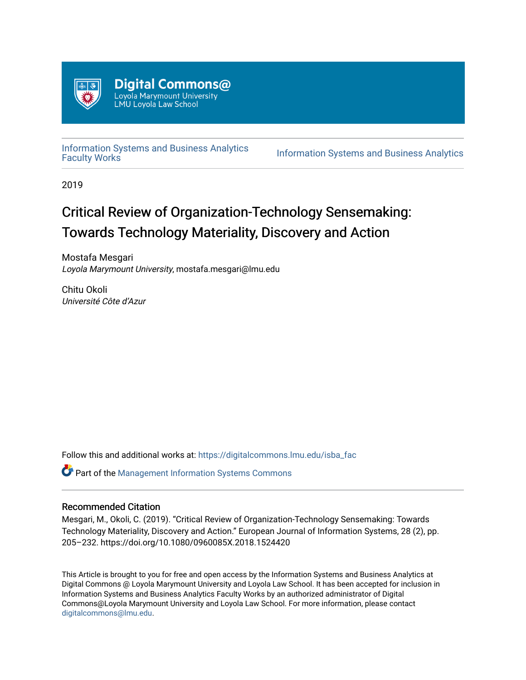

[Information Systems and Business Analytics](https://digitalcommons.lmu.edu/isba_fac)  [Information Systems and Business Analytics](https://digitalcommons.lmu.edu/isba) Theormation Systems and Business Analytics<br>Faculty Works

2019

# Critical Review of Organization-Technology Sensemaking: Towards Technology Materiality, Discovery and Action

Mostafa Mesgari Loyola Marymount University, mostafa.mesgari@lmu.edu

Chitu Okoli Université Côte d'Azur

Follow this and additional works at: [https://digitalcommons.lmu.edu/isba\\_fac](https://digitalcommons.lmu.edu/isba_fac?utm_source=digitalcommons.lmu.edu%2Fisba_fac%2F2&utm_medium=PDF&utm_campaign=PDFCoverPages)

Part of the [Management Information Systems Commons](http://network.bepress.com/hgg/discipline/636?utm_source=digitalcommons.lmu.edu%2Fisba_fac%2F2&utm_medium=PDF&utm_campaign=PDFCoverPages) 

#### Recommended Citation

Mesgari, M., Okoli, C. (2019). "Critical Review of Organization-Technology Sensemaking: Towards Technology Materiality, Discovery and Action." European Journal of Information Systems, 28 (2), pp. 205–232. https://doi.org/10.1080/0960085X.2018.1524420

This Article is brought to you for free and open access by the Information Systems and Business Analytics at Digital Commons @ Loyola Marymount University and Loyola Law School. It has been accepted for inclusion in Information Systems and Business Analytics Faculty Works by an authorized administrator of Digital Commons@Loyola Marymount University and Loyola Law School. For more information, please contact [digitalcommons@lmu.edu](mailto:digitalcommons@lmu.edu).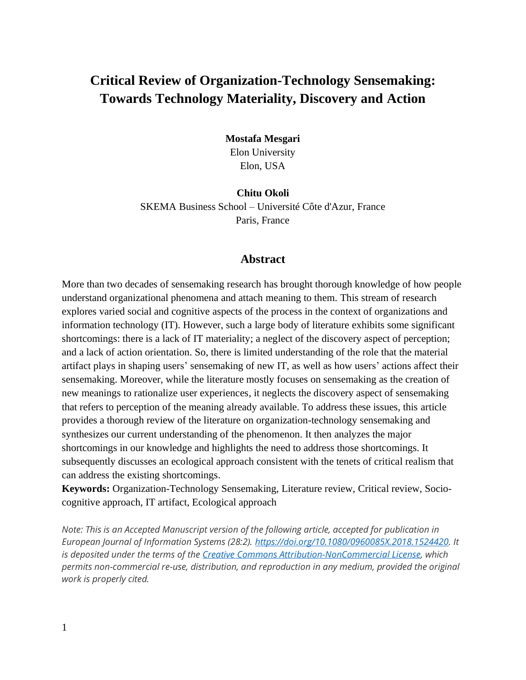# **Critical Review of Organization-Technology Sensemaking: Towards Technology Materiality, Discovery and Action**

**Mostafa Mesgari** Elon University Elon, USA

**Chitu Okoli** SKEMA Business School – Université Côte d'Azur, France Paris, France

#### **Abstract**

More than two decades of sensemaking research has brought thorough knowledge of how people understand organizational phenomena and attach meaning to them. This stream of research explores varied social and cognitive aspects of the process in the context of organizations and information technology (IT). However, such a large body of literature exhibits some significant shortcomings: there is a lack of IT materiality; a neglect of the discovery aspect of perception; and a lack of action orientation. So, there is limited understanding of the role that the material artifact plays in shaping users' sensemaking of new IT, as well as how users' actions affect their sensemaking. Moreover, while the literature mostly focuses on sensemaking as the creation of new meanings to rationalize user experiences, it neglects the discovery aspect of sensemaking that refers to perception of the meaning already available. To address these issues, this article provides a thorough review of the literature on organization-technology sensemaking and synthesizes our current understanding of the phenomenon. It then analyzes the major shortcomings in our knowledge and highlights the need to address those shortcomings. It subsequently discusses an ecological approach consistent with the tenets of critical realism that can address the existing shortcomings.

**Keywords:** Organization-Technology Sensemaking, Literature review, Critical review, Sociocognitive approach, IT artifact, Ecological approach

*Note: This is an Accepted Manuscript version of the following article, accepted for publication in European Journal of Information Systems (28:2). [https://doi.org/10.1080/0960085X.2018.1524420.](https://doi.org/10.1080/0960085X.2018.1524420) It is deposited under the terms of th[e Creative Commons Attribution-NonCommercial](http://creativecommons.org/licenses/by-nc/4.0/) License, which permits non-commercial re-use, distribution, and reproduction in any medium, provided the original work is properly cited.*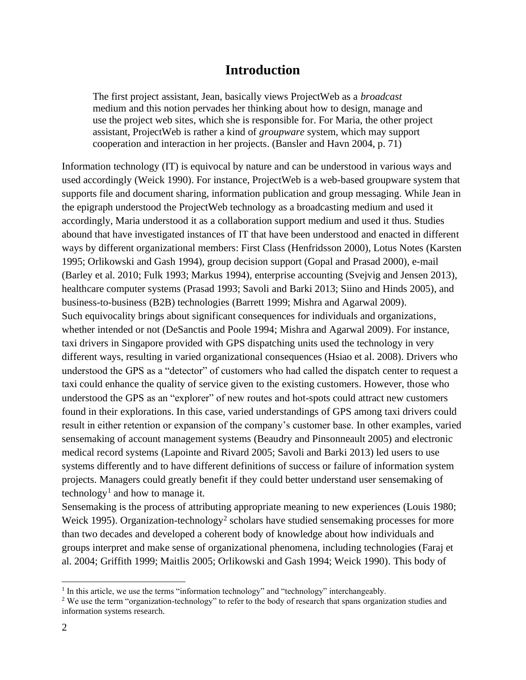# **Introduction**

The first project assistant, Jean, basically views ProjectWeb as a *broadcast*  medium and this notion pervades her thinking about how to design, manage and use the project web sites, which she is responsible for. For Maria, the other project assistant, ProjectWeb is rather a kind of *groupware* system, which may support cooperation and interaction in her projects. (Bansler and Havn 2004, p. 71)

Information technology (IT) is equivocal by nature and can be understood in various ways and used accordingly (Weick 1990). For instance, ProjectWeb is a web-based groupware system that supports file and document sharing, information publication and group messaging. While Jean in the epigraph understood the ProjectWeb technology as a broadcasting medium and used it accordingly, Maria understood it as a collaboration support medium and used it thus. Studies abound that have investigated instances of IT that have been understood and enacted in different ways by different organizational members: First Class (Henfridsson 2000), Lotus Notes (Karsten 1995; Orlikowski and Gash 1994), group decision support (Gopal and Prasad 2000), e-mail (Barley et al. 2010; Fulk 1993; Markus 1994), enterprise accounting (Svejvig and Jensen 2013), healthcare computer systems (Prasad 1993; Savoli and Barki 2013; Siino and Hinds 2005), and business-to-business (B2B) technologies (Barrett 1999; Mishra and Agarwal 2009). Such equivocality brings about significant consequences for individuals and organizations, whether intended or not (DeSanctis and Poole 1994; Mishra and Agarwal 2009). For instance, taxi drivers in Singapore provided with GPS dispatching units used the technology in very different ways, resulting in varied organizational consequences (Hsiao et al. 2008). Drivers who understood the GPS as a "detector" of customers who had called the dispatch center to request a taxi could enhance the quality of service given to the existing customers. However, those who understood the GPS as an "explorer" of new routes and hot-spots could attract new customers found in their explorations. In this case, varied understandings of GPS among taxi drivers could result in either retention or expansion of the company's customer base. In other examples, varied sensemaking of account management systems (Beaudry and Pinsonneault 2005) and electronic medical record systems (Lapointe and Rivard 2005; Savoli and Barki 2013) led users to use systems differently and to have different definitions of success or failure of information system projects. Managers could greatly benefit if they could better understand user sensemaking of technology<sup>1</sup> and how to manage it.

Sensemaking is the process of attributing appropriate meaning to new experiences (Louis 1980; Weick 1995). Organization-technology<sup>2</sup> scholars have studied sensemaking processes for more than two decades and developed a coherent body of knowledge about how individuals and groups interpret and make sense of organizational phenomena, including technologies (Faraj et al. 2004; Griffith 1999; Maitlis 2005; Orlikowski and Gash 1994; Weick 1990). This body of

<sup>&</sup>lt;sup>1</sup> In this article, we use the terms "information technology" and "technology" interchangeably.

<sup>&</sup>lt;sup>2</sup> We use the term "organization-technology" to refer to the body of research that spans organization studies and information systems research.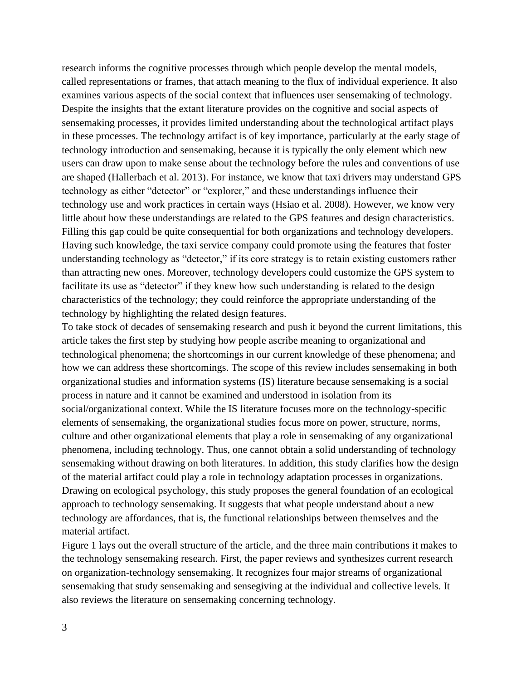research informs the cognitive processes through which people develop the mental models, called representations or frames, that attach meaning to the flux of individual experience. It also examines various aspects of the social context that influences user sensemaking of technology. Despite the insights that the extant literature provides on the cognitive and social aspects of sensemaking processes, it provides limited understanding about the technological artifact plays in these processes. The technology artifact is of key importance, particularly at the early stage of technology introduction and sensemaking, because it is typically the only element which new users can draw upon to make sense about the technology before the rules and conventions of use are shaped (Hallerbach et al. 2013). For instance, we know that taxi drivers may understand GPS technology as either "detector" or "explorer," and these understandings influence their technology use and work practices in certain ways (Hsiao et al. 2008). However, we know very little about how these understandings are related to the GPS features and design characteristics. Filling this gap could be quite consequential for both organizations and technology developers. Having such knowledge, the taxi service company could promote using the features that foster understanding technology as "detector," if its core strategy is to retain existing customers rather than attracting new ones. Moreover, technology developers could customize the GPS system to facilitate its use as "detector" if they knew how such understanding is related to the design characteristics of the technology; they could reinforce the appropriate understanding of the technology by highlighting the related design features.

To take stock of decades of sensemaking research and push it beyond the current limitations, this article takes the first step by studying how people ascribe meaning to organizational and technological phenomena; the shortcomings in our current knowledge of these phenomena; and how we can address these shortcomings. The scope of this review includes sensemaking in both organizational studies and information systems (IS) literature because sensemaking is a social process in nature and it cannot be examined and understood in isolation from its social/organizational context. While the IS literature focuses more on the technology-specific elements of sensemaking, the organizational studies focus more on power, structure, norms, culture and other organizational elements that play a role in sensemaking of any organizational phenomena, including technology. Thus, one cannot obtain a solid understanding of technology sensemaking without drawing on both literatures. In addition, this study clarifies how the design of the material artifact could play a role in technology adaptation processes in organizations. Drawing on ecological psychology, this study proposes the general foundation of an ecological approach to technology sensemaking. It suggests that what people understand about a new technology are affordances, that is, the functional relationships between themselves and the material artifact.

[Figure 1](#page-4-0) lays out the overall structure of the article, and the three main contributions it makes to the technology sensemaking research. First, the paper reviews and synthesizes current research on organization-technology sensemaking. It recognizes four major streams of organizational sensemaking that study sensemaking and sensegiving at the individual and collective levels. It also reviews the literature on sensemaking concerning technology.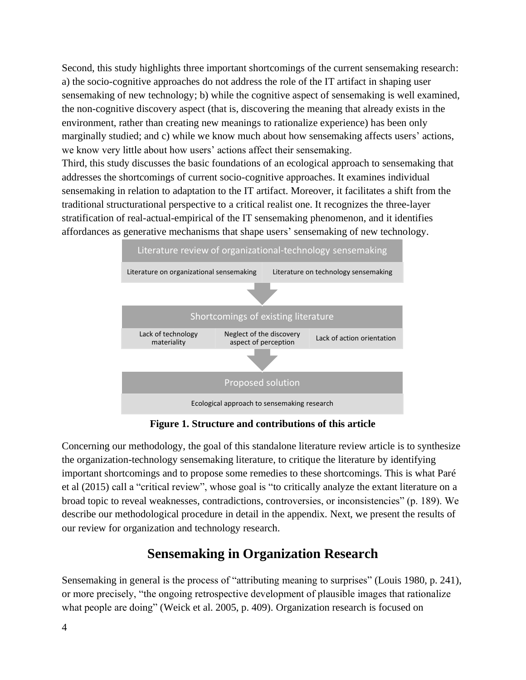Second, this study highlights three important shortcomings of the current sensemaking research: a) the socio-cognitive approaches do not address the role of the IT artifact in shaping user sensemaking of new technology; b) while the cognitive aspect of sensemaking is well examined, the non-cognitive discovery aspect (that is, discovering the meaning that already exists in the environment, rather than creating new meanings to rationalize experience) has been only marginally studied; and c) while we know much about how sensemaking affects users' actions, we know very little about how users' actions affect their sensemaking.

Third, this study discusses the basic foundations of an ecological approach to sensemaking that addresses the shortcomings of current socio-cognitive approaches. It examines individual sensemaking in relation to adaptation to the IT artifact. Moreover, it facilitates a shift from the traditional structurational perspective to a critical realist one. It recognizes the three-layer stratification of real-actual-empirical of the IT sensemaking phenomenon, and it identifies affordances as generative mechanisms that shape users' sensemaking of new technology.



**Figure 1. Structure and contributions of this article**

<span id="page-4-0"></span>Concerning our methodology, the goal of this standalone literature review article is to synthesize the organization-technology sensemaking literature, to critique the literature by identifying important shortcomings and to propose some remedies to these shortcomings. This is what Paré et al (2015) call a "critical review", whose goal is "to critically analyze the extant literature on a broad topic to reveal weaknesses, contradictions, controversies, or inconsistencies" (p. 189). We describe our methodological procedure in detail in the appendix. Next, we present the results of our review for organization and technology research.

# **Sensemaking in Organization Research**

Sensemaking in general is the process of "attributing meaning to surprises" (Louis 1980, p. 241), or more precisely, "the ongoing retrospective development of plausible images that rationalize what people are doing" (Weick et al. 2005, p. 409). Organization research is focused on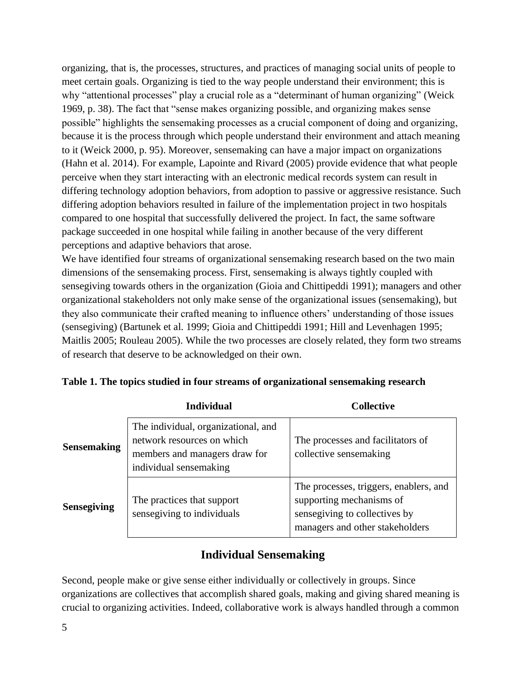organizing, that is, the processes, structures, and practices of managing social units of people to meet certain goals. Organizing is tied to the way people understand their environment; this is why "attentional processes" play a crucial role as a "determinant of human organizing" (Weick 1969, p. 38). The fact that "sense makes organizing possible, and organizing makes sense possible" highlights the sensemaking processes as a crucial component of doing and organizing, because it is the process through which people understand their environment and attach meaning to it (Weick 2000, p. 95). Moreover, sensemaking can have a major impact on organizations (Hahn et al. 2014). For example, Lapointe and Rivard (2005) provide evidence that what people perceive when they start interacting with an electronic medical records system can result in differing technology adoption behaviors, from adoption to passive or aggressive resistance. Such differing adoption behaviors resulted in failure of the implementation project in two hospitals compared to one hospital that successfully delivered the project. In fact, the same software package succeeded in one hospital while failing in another because of the very different perceptions and adaptive behaviors that arose.

We have identified four streams of organizational sensemaking research based on the two main dimensions of the sensemaking process. First, sensemaking is always tightly coupled with sensegiving towards others in the organization (Gioia and Chittipeddi 1991); managers and other organizational stakeholders not only make sense of the organizational issues (sensemaking), but they also communicate their crafted meaning to influence others' understanding of those issues (sensegiving) (Bartunek et al. 1999; Gioia and Chittipeddi 1991; Hill and Levenhagen 1995; Maitlis 2005; Rouleau 2005). While the two processes are closely related, they form two streams of research that deserve to be acknowledged on their own.

|                    | <b>Individual</b>                                                                                                            | <b>Collective</b>                                                                                                                      |
|--------------------|------------------------------------------------------------------------------------------------------------------------------|----------------------------------------------------------------------------------------------------------------------------------------|
| <b>Sensemaking</b> | The individual, organizational, and<br>network resources on which<br>members and managers draw for<br>individual sensemaking | The processes and facilitators of<br>collective sensemaking                                                                            |
| <b>Sensegiving</b> | The practices that support<br>sensegiving to individuals                                                                     | The processes, triggers, enablers, and<br>supporting mechanisms of<br>sensegiving to collectives by<br>managers and other stakeholders |

<span id="page-5-0"></span>**Table 1. The topics studied in four streams of organizational sensemaking research**

### **Individual Sensemaking**

Second, people make or give sense either individually or collectively in groups. Since organizations are collectives that accomplish shared goals, making and giving shared meaning is crucial to organizing activities. Indeed, collaborative work is always handled through a common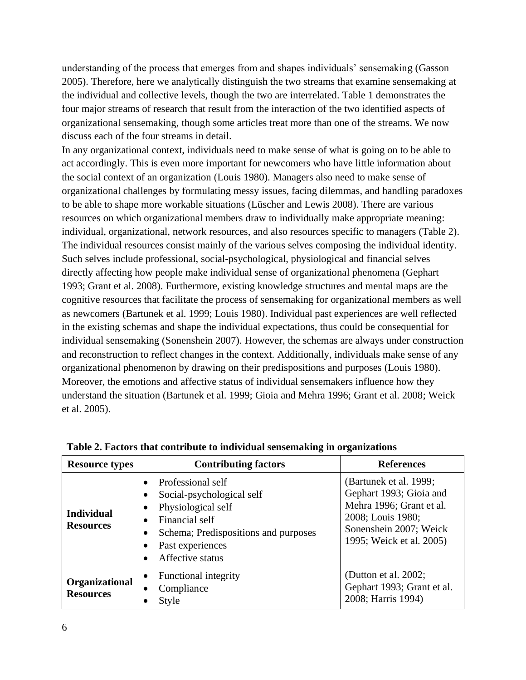understanding of the process that emerges from and shapes individuals' sensemaking (Gasson 2005). Therefore, here we analytically distinguish the two streams that examine sensemaking at the individual and collective levels, though the two are interrelated. [Table 1](#page-5-0) demonstrates the four major streams of research that result from the interaction of the two identified aspects of organizational sensemaking, though some articles treat more than one of the streams. We now discuss each of the four streams in detail.

In any organizational context, individuals need to make sense of what is going on to be able to act accordingly. This is even more important for newcomers who have little information about the social context of an organization (Louis 1980). Managers also need to make sense of organizational challenges by formulating messy issues, facing dilemmas, and handling paradoxes to be able to shape more workable situations (Lüscher and Lewis 2008). There are various resources on which organizational members draw to individually make appropriate meaning: individual, organizational, network resources, and also resources specific to managers [\(Table 2\)](#page-6-0). The individual resources consist mainly of the various selves composing the individual identity. Such selves include professional, social-psychological, physiological and financial selves directly affecting how people make individual sense of organizational phenomena (Gephart 1993; Grant et al. 2008). Furthermore, existing knowledge structures and mental maps are the cognitive resources that facilitate the process of sensemaking for organizational members as well as newcomers (Bartunek et al. 1999; Louis 1980). Individual past experiences are well reflected in the existing schemas and shape the individual expectations, thus could be consequential for individual sensemaking (Sonenshein 2007). However, the schemas are always under construction and reconstruction to reflect changes in the context. Additionally, individuals make sense of any organizational phenomenon by drawing on their predispositions and purposes (Louis 1980). Moreover, the emotions and affective status of individual sensemakers influence how they understand the situation (Bartunek et al. 1999; Gioia and Mehra 1996; Grant et al. 2008; Weick et al. 2005).

| <b>Resource types</b>                     | <b>Contributing factors</b>                                                                                                                                                                                | <b>References</b>                                                                                                                                        |  |
|-------------------------------------------|------------------------------------------------------------------------------------------------------------------------------------------------------------------------------------------------------------|----------------------------------------------------------------------------------------------------------------------------------------------------------|--|
| <b>Individual</b><br><b>Resources</b>     | Professional self<br>Social-psychological self<br>$\bullet$<br>Physiological self<br>٠<br>Financial self<br>$\bullet$<br>Schema; Predispositions and purposes<br>٠<br>Past experiences<br>Affective status | (Bartunek et al. 1999;<br>Gephart 1993; Gioia and<br>Mehra 1996; Grant et al.<br>2008; Louis 1980;<br>Sonenshein 2007; Weick<br>1995; Weick et al. 2005) |  |
| <b>Organizational</b><br><b>Resources</b> | Functional integrity<br>$\bullet$<br>Compliance<br>Style                                                                                                                                                   | (Dutton et al. $2002$ ;<br>Gephart 1993; Grant et al.<br>2008; Harris 1994)                                                                              |  |

<span id="page-6-0"></span>**Table 2. Factors that contribute to individual sensemaking in organizations**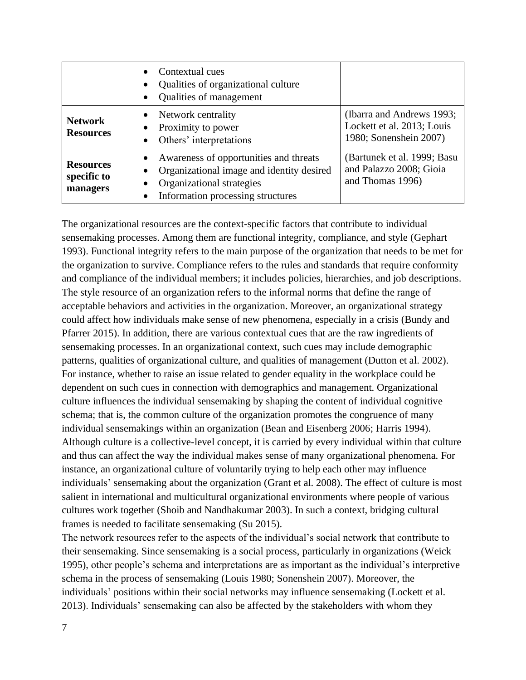|                                             | Contextual cues<br>$\bullet$<br>Qualities of organizational culture<br>Qualities of management                                                                               |                                                                                   |
|---------------------------------------------|------------------------------------------------------------------------------------------------------------------------------------------------------------------------------|-----------------------------------------------------------------------------------|
| <b>Network</b><br><b>Resources</b>          | Network centrality<br>$\bullet$<br>Proximity to power<br>Others' interpretations<br>٠                                                                                        | (Ibarra and Andrews 1993;<br>Lockett et al. 2013; Louis<br>1980; Sonenshein 2007) |
| <b>Resources</b><br>specific to<br>managers | Awareness of opportunities and threats<br>$\bullet$<br>Organizational image and identity desired<br>٠<br>Organizational strategies<br>٠<br>Information processing structures | (Bartunek et al. 1999; Basu<br>and Palazzo 2008; Gioia<br>and Thomas 1996)        |

The organizational resources are the context-specific factors that contribute to individual sensemaking processes. Among them are functional integrity, compliance, and style (Gephart 1993). Functional integrity refers to the main purpose of the organization that needs to be met for the organization to survive. Compliance refers to the rules and standards that require conformity and compliance of the individual members; it includes policies, hierarchies, and job descriptions. The style resource of an organization refers to the informal norms that define the range of acceptable behaviors and activities in the organization. Moreover, an organizational strategy could affect how individuals make sense of new phenomena, especially in a crisis (Bundy and Pfarrer 2015). In addition, there are various contextual cues that are the raw ingredients of sensemaking processes. In an organizational context, such cues may include demographic patterns, qualities of organizational culture, and qualities of management (Dutton et al. 2002). For instance, whether to raise an issue related to gender equality in the workplace could be dependent on such cues in connection with demographics and management. Organizational culture influences the individual sensemaking by shaping the content of individual cognitive schema; that is, the common culture of the organization promotes the congruence of many individual sensemakings within an organization (Bean and Eisenberg 2006; Harris 1994). Although culture is a collective-level concept, it is carried by every individual within that culture and thus can affect the way the individual makes sense of many organizational phenomena. For instance, an organizational culture of voluntarily trying to help each other may influence individuals' sensemaking about the organization (Grant et al. 2008). The effect of culture is most salient in international and multicultural organizational environments where people of various cultures work together (Shoib and Nandhakumar 2003). In such a context, bridging cultural frames is needed to facilitate sensemaking (Su 2015).

The network resources refer to the aspects of the individual's social network that contribute to their sensemaking. Since sensemaking is a social process, particularly in organizations (Weick 1995), other people's schema and interpretations are as important as the individual's interpretive schema in the process of sensemaking (Louis 1980; Sonenshein 2007). Moreover, the individuals' positions within their social networks may influence sensemaking (Lockett et al. 2013). Individuals' sensemaking can also be affected by the stakeholders with whom they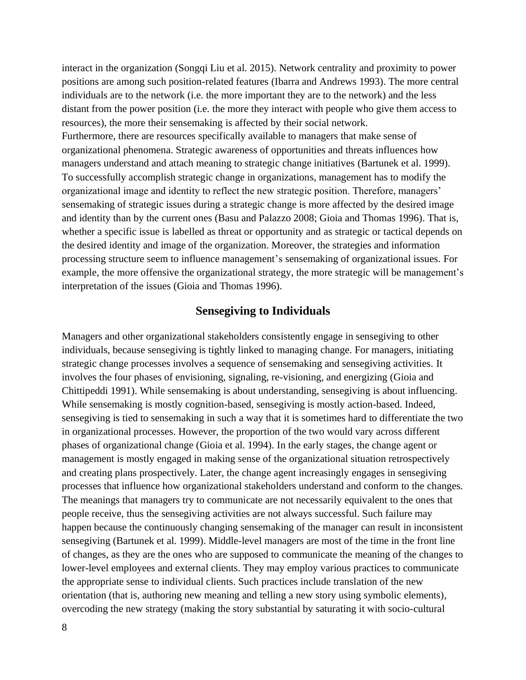interact in the organization (Songqi Liu et al. 2015). Network centrality and proximity to power positions are among such position-related features (Ibarra and Andrews 1993). The more central individuals are to the network (i.e. the more important they are to the network) and the less distant from the power position (i.e. the more they interact with people who give them access to resources), the more their sensemaking is affected by their social network. Furthermore, there are resources specifically available to managers that make sense of organizational phenomena. Strategic awareness of opportunities and threats influences how managers understand and attach meaning to strategic change initiatives (Bartunek et al. 1999). To successfully accomplish strategic change in organizations, management has to modify the organizational image and identity to reflect the new strategic position. Therefore, managers' sensemaking of strategic issues during a strategic change is more affected by the desired image and identity than by the current ones (Basu and Palazzo 2008; Gioia and Thomas 1996). That is, whether a specific issue is labelled as threat or opportunity and as strategic or tactical depends on the desired identity and image of the organization. Moreover, the strategies and information processing structure seem to influence management's sensemaking of organizational issues. For example, the more offensive the organizational strategy, the more strategic will be management's interpretation of the issues (Gioia and Thomas 1996).

#### **Sensegiving to Individuals**

Managers and other organizational stakeholders consistently engage in sensegiving to other individuals, because sensegiving is tightly linked to managing change. For managers, initiating strategic change processes involves a sequence of sensemaking and sensegiving activities. It involves the four phases of envisioning, signaling, re-visioning, and energizing (Gioia and Chittipeddi 1991). While sensemaking is about understanding, sensegiving is about influencing. While sensemaking is mostly cognition-based, sensegiving is mostly action-based. Indeed, sensegiving is tied to sensemaking in such a way that it is sometimes hard to differentiate the two in organizational processes. However, the proportion of the two would vary across different phases of organizational change (Gioia et al. 1994). In the early stages, the change agent or management is mostly engaged in making sense of the organizational situation retrospectively and creating plans prospectively. Later, the change agent increasingly engages in sensegiving processes that influence how organizational stakeholders understand and conform to the changes. The meanings that managers try to communicate are not necessarily equivalent to the ones that people receive, thus the sensegiving activities are not always successful. Such failure may happen because the continuously changing sensemaking of the manager can result in inconsistent sensegiving (Bartunek et al. 1999). Middle-level managers are most of the time in the front line of changes, as they are the ones who are supposed to communicate the meaning of the changes to lower-level employees and external clients. They may employ various practices to communicate the appropriate sense to individual clients. Such practices include translation of the new orientation (that is, authoring new meaning and telling a new story using symbolic elements), overcoding the new strategy (making the story substantial by saturating it with socio-cultural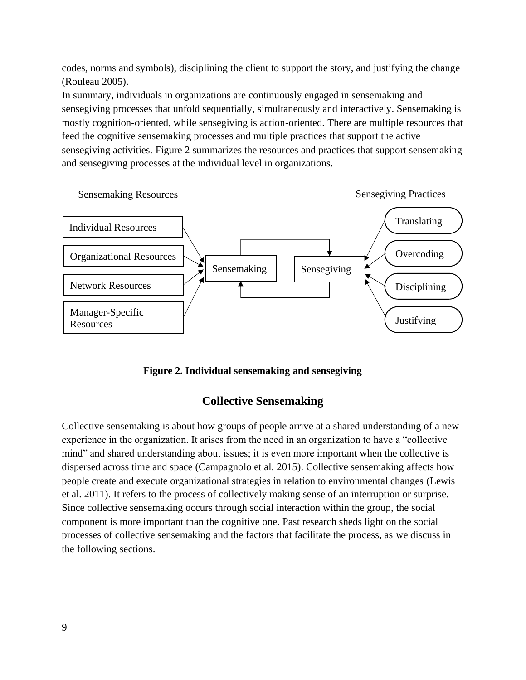codes, norms and symbols), disciplining the client to support the story, and justifying the change (Rouleau 2005).

In summary, individuals in organizations are continuously engaged in sensemaking and sensegiving processes that unfold sequentially, simultaneously and interactively. Sensemaking is mostly cognition-oriented, while sensegiving is action-oriented. There are multiple resources that feed the cognitive sensemaking processes and multiple practices that support the active sensegiving activities. [Figure 2](#page-9-0) summarizes the resources and practices that support sensemaking and sensegiving processes at the individual level in organizations.



<span id="page-9-0"></span>**Figure 2. Individual sensemaking and sensegiving**

### **Collective Sensemaking**

Collective sensemaking is about how groups of people arrive at a shared understanding of a new experience in the organization. It arises from the need in an organization to have a "collective mind" and shared understanding about issues; it is even more important when the collective is dispersed across time and space (Campagnolo et al. 2015). Collective sensemaking affects how people create and execute organizational strategies in relation to environmental changes (Lewis et al. 2011). It refers to the process of collectively making sense of an interruption or surprise. Since collective sensemaking occurs through social interaction within the group, the social component is more important than the cognitive one. Past research sheds light on the social processes of collective sensemaking and the factors that facilitate the process, as we discuss in the following sections.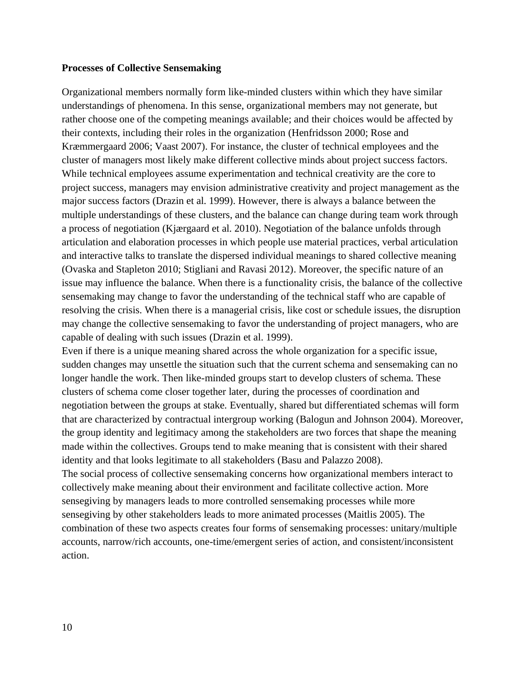#### **Processes of Collective Sensemaking**

Organizational members normally form like-minded clusters within which they have similar understandings of phenomena. In this sense, organizational members may not generate, but rather choose one of the competing meanings available; and their choices would be affected by their contexts, including their roles in the organization (Henfridsson 2000; Rose and Kræmmergaard 2006; Vaast 2007). For instance, the cluster of technical employees and the cluster of managers most likely make different collective minds about project success factors. While technical employees assume experimentation and technical creativity are the core to project success, managers may envision administrative creativity and project management as the major success factors (Drazin et al. 1999). However, there is always a balance between the multiple understandings of these clusters, and the balance can change during team work through a process of negotiation (Kjærgaard et al. 2010). Negotiation of the balance unfolds through articulation and elaboration processes in which people use material practices, verbal articulation and interactive talks to translate the dispersed individual meanings to shared collective meaning (Ovaska and Stapleton 2010; Stigliani and Ravasi 2012). Moreover, the specific nature of an issue may influence the balance. When there is a functionality crisis, the balance of the collective sensemaking may change to favor the understanding of the technical staff who are capable of resolving the crisis. When there is a managerial crisis, like cost or schedule issues, the disruption may change the collective sensemaking to favor the understanding of project managers, who are capable of dealing with such issues (Drazin et al. 1999).

Even if there is a unique meaning shared across the whole organization for a specific issue, sudden changes may unsettle the situation such that the current schema and sensemaking can no longer handle the work. Then like-minded groups start to develop clusters of schema. These clusters of schema come closer together later, during the processes of coordination and negotiation between the groups at stake. Eventually, shared but differentiated schemas will form that are characterized by contractual intergroup working (Balogun and Johnson 2004). Moreover, the group identity and legitimacy among the stakeholders are two forces that shape the meaning made within the collectives. Groups tend to make meaning that is consistent with their shared identity and that looks legitimate to all stakeholders (Basu and Palazzo 2008).

The social process of collective sensemaking concerns how organizational members interact to collectively make meaning about their environment and facilitate collective action. More sensegiving by managers leads to more controlled sensemaking processes while more sensegiving by other stakeholders leads to more animated processes (Maitlis 2005). The combination of these two aspects creates four forms of sensemaking processes: unitary/multiple accounts, narrow/rich accounts, one-time/emergent series of action, and consistent/inconsistent action.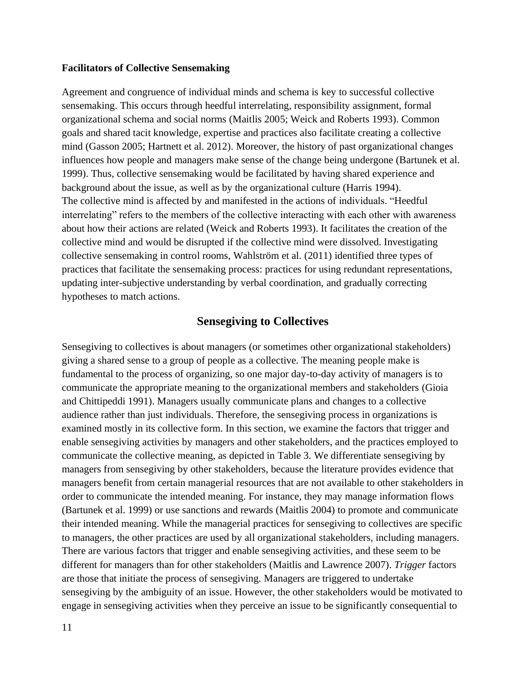#### **Facilitators of Collective Sensemaking**

Agreement and congruence of individual minds and schema is key to successful collective sensemaking. This occurs through heedful interrelating, responsibility assignment, formal organizational schema and social norms (Maitlis 2005; Weick and Roberts 1993). Common goals and shared tacit knowledge, expertise and practices also facilitate creating a collective mind (Gasson 2005; Hartnett et al. 2012). Moreover, the history of past organizational changes influences how people and managers make sense of the change being undergone (Bartunek et al. 1999). Thus, collective sensemaking would be facilitated by having shared experience and background about the issue, as well as by the organizational culture (Harris 1994). The collective mind is affected by and manifested in the actions of individuals. "Heedful interrelating" refers to the members of the collective interacting with each other with awareness about how their actions are related (Weick and Roberts 1993). It facilitates the creation of the collective mind and would be disrupted if the collective mind were dissolved. Investigating collective sensemaking in control rooms, Wahlström et al. (2011) identified three types of practices that facilitate the sensemaking process: practices for using redundant representations, updating inter-subjective understanding by verbal coordination, and gradually correcting hypotheses to match actions.

#### **Sensegiving to Collectives**

Sensegiving to collectives is about managers (or sometimes other organizational stakeholders) giving a shared sense to a group of people as a collective. The meaning people make is fundamental to the process of organizing, so one major day-to-day activity of managers is to communicate the appropriate meaning to the organizational members and stakeholders (Gioia and Chittipeddi 1991). Managers usually communicate plans and changes to a collective audience rather than just individuals. Therefore, the sensegiving process in organizations is examined mostly in its collective form. In this section, we examine the factors that trigger and enable sensegiving activities by managers and other stakeholders, and the practices employed to communicate the collective meaning, as depicted in [Table 3.](#page-12-0) We differentiate sensegiving by managers from sensegiving by other stakeholders, because the literature provides evidence that managers benefit from certain managerial resources that are not available to other stakeholders in order to communicate the intended meaning. For instance, they may manage information flows (Bartunek et al. 1999) or use sanctions and rewards (Maitlis 2004) to promote and communicate their intended meaning. While the managerial practices for sensegiving to collectives are specific to managers, the other practices are used by all organizational stakeholders, including managers. There are various factors that trigger and enable sensegiving activities, and these seem to be different for managers than for other stakeholders (Maitlis and Lawrence 2007). *Trigger* factors are those that initiate the process of sensegiving. Managers are triggered to undertake sensegiving by the ambiguity of an issue. However, the other stakeholders would be motivated to engage in sensegiving activities when they perceive an issue to be significantly consequential to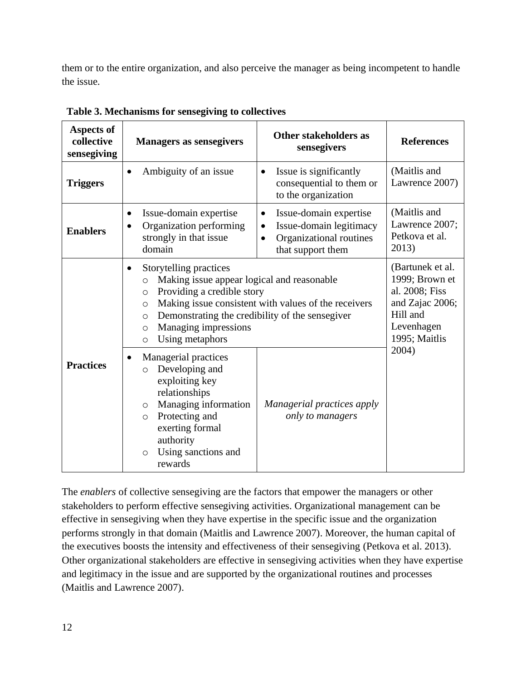them or to the entire organization, and also perceive the manager as being incompetent to handle the issue.

| <b>Aspects of</b><br>collective<br>sensegiving | <b>Managers as sensegivers</b>                                                                                                                                                                                                                                                                                                          | <b>Other stakeholders as</b><br>sensegivers                                                                                              | <b>References</b>                                                                                                   |
|------------------------------------------------|-----------------------------------------------------------------------------------------------------------------------------------------------------------------------------------------------------------------------------------------------------------------------------------------------------------------------------------------|------------------------------------------------------------------------------------------------------------------------------------------|---------------------------------------------------------------------------------------------------------------------|
| <b>Triggers</b>                                | Ambiguity of an issue<br>$\bullet$                                                                                                                                                                                                                                                                                                      | Issue is significantly<br>$\bullet$<br>consequential to them or<br>to the organization                                                   | (Maitlis and<br>Lawrence 2007)                                                                                      |
| <b>Enablers</b>                                | Issue-domain expertise<br>$\bullet$<br>Organization performing<br>$\bullet$<br>strongly in that issue<br>domain                                                                                                                                                                                                                         | Issue-domain expertise<br>$\bullet$<br>Issue-domain legitimacy<br>$\bullet$<br>Organizational routines<br>$\bullet$<br>that support them | (Maitlis and<br>Lawrence 2007;<br>Petkova et al.<br>2013)                                                           |
|                                                | Storytelling practices<br>$\bullet$<br>Making issue appear logical and reasonable<br>$\circ$<br>Providing a credible story<br>$\circ$<br>Making issue consistent with values of the receivers<br>$\circ$<br>Demonstrating the credibility of the sensegiver<br>$\circ$<br>Managing impressions<br>$\circ$<br>Using metaphors<br>$\circ$ |                                                                                                                                          | (Bartunek et al.)<br>1999; Brown et<br>al. 2008; Fiss<br>and Zajac 2006;<br>Hill and<br>Levenhagen<br>1995; Maitlis |
| <b>Practices</b>                               | Managerial practices<br>Developing and<br>$\circ$<br>exploiting key<br>relationships<br>Managing information<br>$\circ$<br>Protecting and<br>$\circ$<br>exerting formal<br>authority<br>Using sanctions and<br>$\circ$<br>rewards                                                                                                       | Managerial practices apply<br>only to managers                                                                                           | 2004)                                                                                                               |

<span id="page-12-0"></span>**Table 3. Mechanisms for sensegiving to collectives**

The *enablers* of collective sensegiving are the factors that empower the managers or other stakeholders to perform effective sensegiving activities. Organizational management can be effective in sensegiving when they have expertise in the specific issue and the organization performs strongly in that domain (Maitlis and Lawrence 2007). Moreover, the human capital of the executives boosts the intensity and effectiveness of their sensegiving (Petkova et al. 2013). Other organizational stakeholders are effective in sensegiving activities when they have expertise and legitimacy in the issue and are supported by the organizational routines and processes (Maitlis and Lawrence 2007).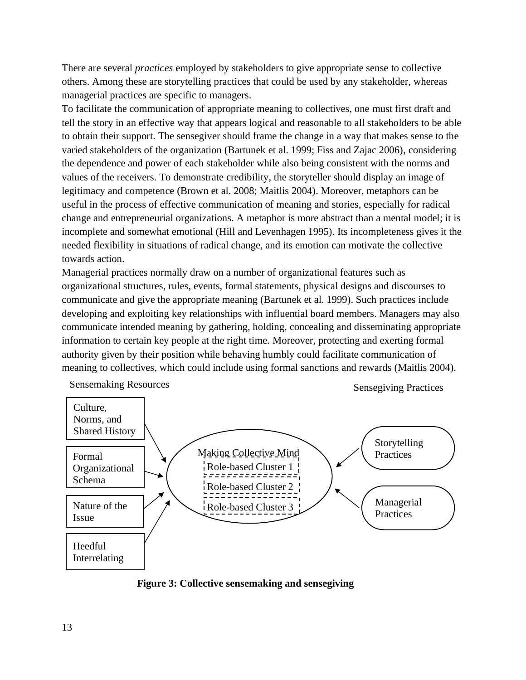There are several *practices* employed by stakeholders to give appropriate sense to collective others. Among these are storytelling practices that could be used by any stakeholder, whereas managerial practices are specific to managers.

To facilitate the communication of appropriate meaning to collectives, one must first draft and tell the story in an effective way that appears logical and reasonable to all stakeholders to be able to obtain their support. The sensegiver should frame the change in a way that makes sense to the varied stakeholders of the organization (Bartunek et al. 1999; Fiss and Zajac 2006), considering the dependence and power of each stakeholder while also being consistent with the norms and values of the receivers. To demonstrate credibility, the storyteller should display an image of legitimacy and competence (Brown et al. 2008; Maitlis 2004). Moreover, metaphors can be useful in the process of effective communication of meaning and stories, especially for radical change and entrepreneurial organizations. A metaphor is more abstract than a mental model; it is incomplete and somewhat emotional (Hill and Levenhagen 1995). Its incompleteness gives it the needed flexibility in situations of radical change, and its emotion can motivate the collective towards action.

Managerial practices normally draw on a number of organizational features such as organizational structures, rules, events, formal statements, physical designs and discourses to communicate and give the appropriate meaning (Bartunek et al. 1999). Such practices include developing and exploiting key relationships with influential board members. Managers may also communicate intended meaning by gathering, holding, concealing and disseminating appropriate information to certain key people at the right time. Moreover, protecting and exerting formal authority given by their position while behaving humbly could facilitate communication of meaning to collectives, which could include using formal sanctions and rewards (Maitlis 2004).



<span id="page-13-0"></span>**Figure 3: Collective sensemaking and sensegiving**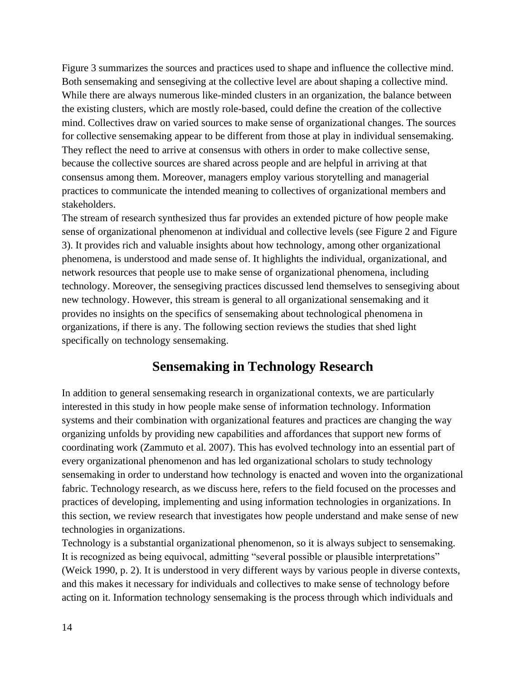[Figure 3](#page-13-0) summarizes the sources and practices used to shape and influence the collective mind. Both sensemaking and sensegiving at the collective level are about shaping a collective mind. While there are always numerous like-minded clusters in an organization, the balance between the existing clusters, which are mostly role-based, could define the creation of the collective mind. Collectives draw on varied sources to make sense of organizational changes. The sources for collective sensemaking appear to be different from those at play in individual sensemaking. They reflect the need to arrive at consensus with others in order to make collective sense, because the collective sources are shared across people and are helpful in arriving at that consensus among them. Moreover, managers employ various storytelling and managerial practices to communicate the intended meaning to collectives of organizational members and stakeholders.

The stream of research synthesized thus far provides an extended picture of how people make sense of organizational phenomenon at individual and collective levels (see [Figure 2](#page-9-0) and [Figure](#page-13-0)  [3\)](#page-13-0). It provides rich and valuable insights about how technology, among other organizational phenomena, is understood and made sense of. It highlights the individual, organizational, and network resources that people use to make sense of organizational phenomena, including technology. Moreover, the sensegiving practices discussed lend themselves to sensegiving about new technology. However, this stream is general to all organizational sensemaking and it provides no insights on the specifics of sensemaking about technological phenomena in organizations, if there is any. The following section reviews the studies that shed light specifically on technology sensemaking.

# **Sensemaking in Technology Research**

In addition to general sensemaking research in organizational contexts, we are particularly interested in this study in how people make sense of information technology. Information systems and their combination with organizational features and practices are changing the way organizing unfolds by providing new capabilities and affordances that support new forms of coordinating work (Zammuto et al. 2007). This has evolved technology into an essential part of every organizational phenomenon and has led organizational scholars to study technology sensemaking in order to understand how technology is enacted and woven into the organizational fabric. Technology research, as we discuss here, refers to the field focused on the processes and practices of developing, implementing and using information technologies in organizations. In this section, we review research that investigates how people understand and make sense of new technologies in organizations.

Technology is a substantial organizational phenomenon, so it is always subject to sensemaking. It is recognized as being equivocal, admitting "several possible or plausible interpretations" (Weick 1990, p. 2). It is understood in very different ways by various people in diverse contexts, and this makes it necessary for individuals and collectives to make sense of technology before acting on it. Information technology sensemaking is the process through which individuals and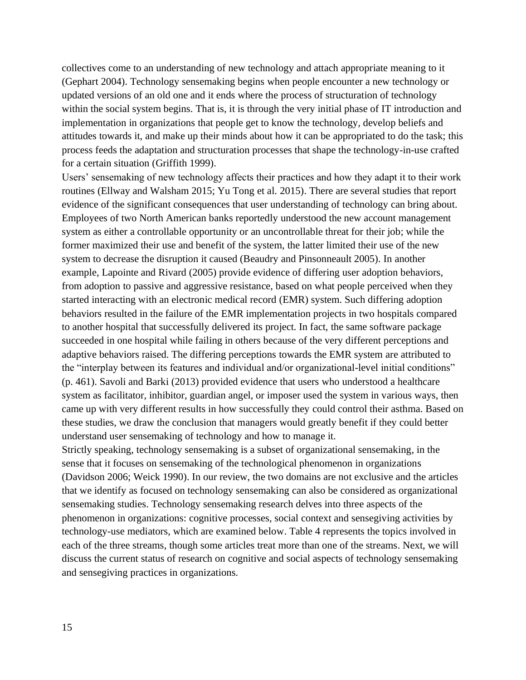collectives come to an understanding of new technology and attach appropriate meaning to it (Gephart 2004). Technology sensemaking begins when people encounter a new technology or updated versions of an old one and it ends where the process of structuration of technology within the social system begins. That is, it is through the very initial phase of IT introduction and implementation in organizations that people get to know the technology, develop beliefs and attitudes towards it, and make up their minds about how it can be appropriated to do the task; this process feeds the adaptation and structuration processes that shape the technology-in-use crafted for a certain situation (Griffith 1999).

Users' sensemaking of new technology affects their practices and how they adapt it to their work routines (Ellway and Walsham 2015; Yu Tong et al. 2015). There are several studies that report evidence of the significant consequences that user understanding of technology can bring about. Employees of two North American banks reportedly understood the new account management system as either a controllable opportunity or an uncontrollable threat for their job; while the former maximized their use and benefit of the system, the latter limited their use of the new system to decrease the disruption it caused (Beaudry and Pinsonneault 2005). In another example, Lapointe and Rivard (2005) provide evidence of differing user adoption behaviors, from adoption to passive and aggressive resistance, based on what people perceived when they started interacting with an electronic medical record (EMR) system. Such differing adoption behaviors resulted in the failure of the EMR implementation projects in two hospitals compared to another hospital that successfully delivered its project. In fact, the same software package succeeded in one hospital while failing in others because of the very different perceptions and adaptive behaviors raised. The differing perceptions towards the EMR system are attributed to the "interplay between its features and individual and/or organizational-level initial conditions" (p. 461). Savoli and Barki (2013) provided evidence that users who understood a healthcare system as facilitator, inhibitor, guardian angel, or imposer used the system in various ways, then came up with very different results in how successfully they could control their asthma. Based on these studies, we draw the conclusion that managers would greatly benefit if they could better understand user sensemaking of technology and how to manage it.

Strictly speaking, technology sensemaking is a subset of organizational sensemaking, in the sense that it focuses on sensemaking of the technological phenomenon in organizations (Davidson 2006; Weick 1990). In our review, the two domains are not exclusive and the articles that we identify as focused on technology sensemaking can also be considered as organizational sensemaking studies. Technology sensemaking research delves into three aspects of the phenomenon in organizations: cognitive processes, social context and sensegiving activities by technology-use mediators, which are examined below. [Table 4](#page-16-0) represents the topics involved in each of the three streams, though some articles treat more than one of the streams. Next, we will discuss the current status of research on cognitive and social aspects of technology sensemaking and sensegiving practices in organizations.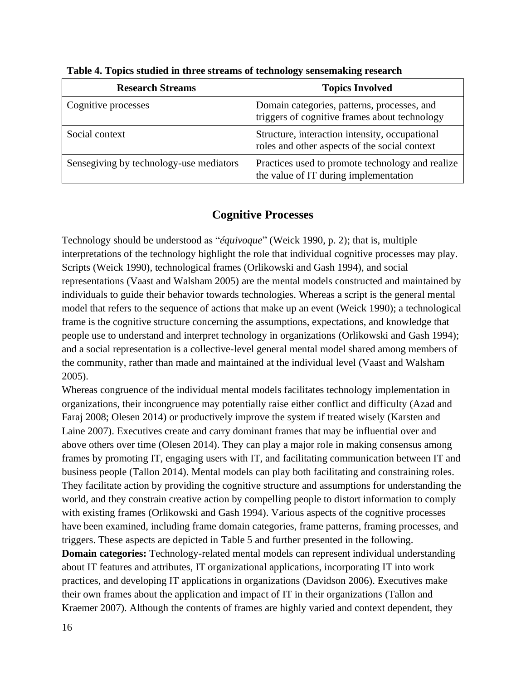| <b>Research Streams</b>                 | <b>Topics Involved</b>                                                                          |
|-----------------------------------------|-------------------------------------------------------------------------------------------------|
| Cognitive processes                     | Domain categories, patterns, processes, and<br>triggers of cognitive frames about technology    |
| Social context                          | Structure, interaction intensity, occupational<br>roles and other aspects of the social context |
| Sensegiving by technology-use mediators | Practices used to promote technology and realize<br>the value of IT during implementation       |

<span id="page-16-0"></span>**Table 4. Topics studied in three streams of technology sensemaking research**

#### **Cognitive Processes**

Technology should be understood as "*équivoque*" (Weick 1990, p. 2); that is, multiple interpretations of the technology highlight the role that individual cognitive processes may play. Scripts (Weick 1990), technological frames (Orlikowski and Gash 1994), and social representations (Vaast and Walsham 2005) are the mental models constructed and maintained by individuals to guide their behavior towards technologies. Whereas a script is the general mental model that refers to the sequence of actions that make up an event (Weick 1990); a technological frame is the cognitive structure concerning the assumptions, expectations, and knowledge that people use to understand and interpret technology in organizations (Orlikowski and Gash 1994); and a social representation is a collective-level general mental model shared among members of the community, rather than made and maintained at the individual level (Vaast and Walsham 2005).

Whereas congruence of the individual mental models facilitates technology implementation in organizations, their incongruence may potentially raise either conflict and difficulty (Azad and Faraj 2008; Olesen 2014) or productively improve the system if treated wisely (Karsten and Laine 2007). Executives create and carry dominant frames that may be influential over and above others over time (Olesen 2014). They can play a major role in making consensus among frames by promoting IT, engaging users with IT, and facilitating communication between IT and business people (Tallon 2014). Mental models can play both facilitating and constraining roles. They facilitate action by providing the cognitive structure and assumptions for understanding the world, and they constrain creative action by compelling people to distort information to comply with existing frames (Orlikowski and Gash 1994). Various aspects of the cognitive processes have been examined, including frame domain categories, frame patterns, framing processes, and triggers. These aspects are depicted in [Table 5](#page-17-0) and further presented in the following. **Domain categories:** Technology-related mental models can represent individual understanding about IT features and attributes, IT organizational applications, incorporating IT into work practices, and developing IT applications in organizations (Davidson 2006). Executives make their own frames about the application and impact of IT in their organizations (Tallon and Kraemer 2007). Although the contents of frames are highly varied and context dependent, they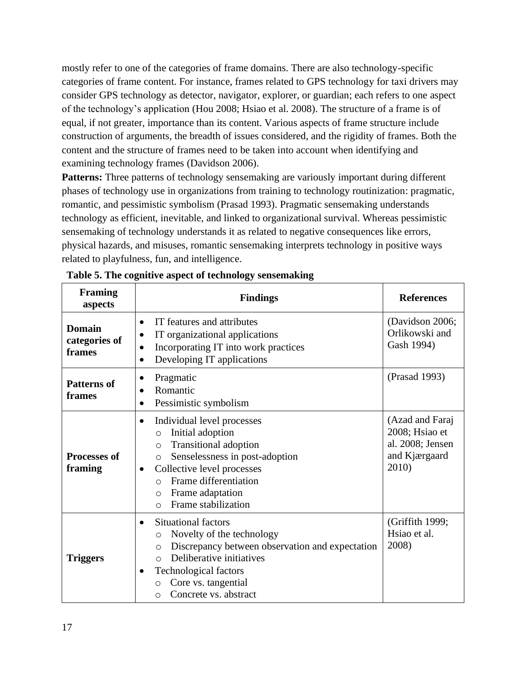mostly refer to one of the categories of frame domains. There are also technology-specific categories of frame content. For instance, frames related to GPS technology for taxi drivers may consider GPS technology as detector, navigator, explorer, or guardian; each refers to one aspect of the technology's application (Hou 2008; Hsiao et al. 2008). The structure of a frame is of equal, if not greater, importance than its content. Various aspects of frame structure include construction of arguments, the breadth of issues considered, and the rigidity of frames. Both the content and the structure of frames need to be taken into account when identifying and examining technology frames (Davidson 2006).

**Patterns:** Three patterns of technology sensemaking are variously important during different phases of technology use in organizations from training to technology routinization: pragmatic, romantic, and pessimistic symbolism (Prasad 1993). Pragmatic sensemaking understands technology as efficient, inevitable, and linked to organizational survival. Whereas pessimistic sensemaking of technology understands it as related to negative consequences like errors, physical hazards, and misuses, romantic sensemaking interprets technology in positive ways related to playfulness, fun, and intelligence.

| <b>Framing</b><br>aspects                | <b>Findings</b>                                                                                                                                                                                                                                                                                     | <b>References</b>                                                               |
|------------------------------------------|-----------------------------------------------------------------------------------------------------------------------------------------------------------------------------------------------------------------------------------------------------------------------------------------------------|---------------------------------------------------------------------------------|
| <b>Domain</b><br>categories of<br>frames | IT features and attributes<br>$\bullet$<br>IT organizational applications<br>Incorporating IT into work practices<br>Developing IT applications<br>$\bullet$                                                                                                                                        | (Davidson 2006;<br>Orlikowski and<br>Gash 1994)                                 |
| <b>Patterns of</b><br>frames             | Pragmatic<br>٠<br>Romantic<br>Pessimistic symbolism                                                                                                                                                                                                                                                 | (Prasad 1993)                                                                   |
| <b>Processes of</b><br>framing           | Individual level processes<br>$\bullet$<br>Initial adoption<br>$\circ$<br>Transitional adoption<br>$\circ$<br>Senselessness in post-adoption<br>$\circ$<br>Collective level processes<br>$\bullet$<br>Frame differentiation<br>$\Omega$<br>Frame adaptation<br>$\circ$<br>Frame stabilization<br>O  | (Azad and Faraj<br>2008; Hsiao et<br>al. 2008; Jensen<br>and Kjærgaard<br>2010) |
| <b>Triggers</b>                          | <b>Situational factors</b><br>$\bullet$<br>Novelty of the technology<br>$\circ$<br>Discrepancy between observation and expectation<br>$\circ$<br>Deliberative initiatives<br>$\circ$<br>Technological factors<br>$\bullet$<br>Core vs. tangential<br>$\circ$<br>Concrete vs. abstract<br>$\bigcirc$ | (Griffith 1999;<br>Hsiao et al.<br>2008)                                        |

<span id="page-17-0"></span>**Table 5. The cognitive aspect of technology sensemaking**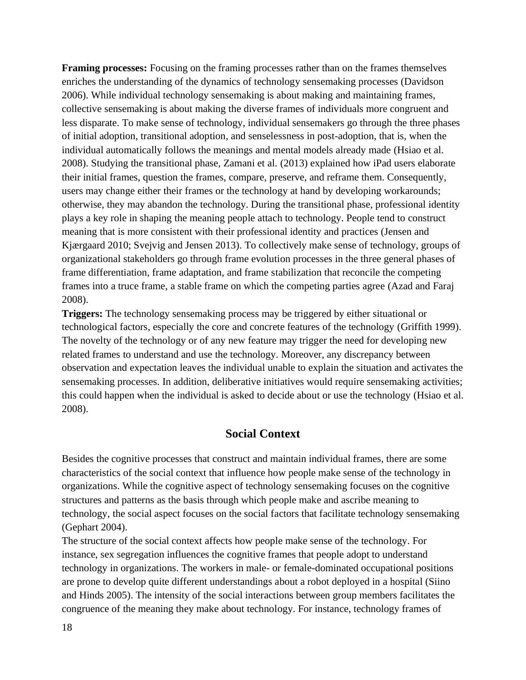**Framing processes:** Focusing on the framing processes rather than on the frames themselves enriches the understanding of the dynamics of technology sensemaking processes (Davidson 2006). While individual technology sensemaking is about making and maintaining frames, collective sensemaking is about making the diverse frames of individuals more congruent and less disparate. To make sense of technology, individual sensemakers go through the three phases of initial adoption, transitional adoption, and senselessness in post-adoption, that is, when the individual automatically follows the meanings and mental models already made (Hsiao et al. 2008). Studying the transitional phase, Zamani et al. (2013) explained how iPad users elaborate their initial frames, question the frames, compare, preserve, and reframe them. Consequently, users may change either their frames or the technology at hand by developing workarounds; otherwise, they may abandon the technology. During the transitional phase, professional identity plays a key role in shaping the meaning people attach to technology. People tend to construct meaning that is more consistent with their professional identity and practices (Jensen and Kjærgaard 2010; Svejvig and Jensen 2013). To collectively make sense of technology, groups of organizational stakeholders go through frame evolution processes in the three general phases of frame differentiation, frame adaptation, and frame stabilization that reconcile the competing frames into a truce frame, a stable frame on which the competing parties agree (Azad and Faraj 2008).

**Triggers:** The technology sensemaking process may be triggered by either situational or technological factors, especially the core and concrete features of the technology (Griffith 1999). The novelty of the technology or of any new feature may trigger the need for developing new related frames to understand and use the technology. Moreover, any discrepancy between observation and expectation leaves the individual unable to explain the situation and activates the sensemaking processes. In addition, deliberative initiatives would require sensemaking activities; this could happen when the individual is asked to decide about or use the technology (Hsiao et al. 2008).

#### **Social Context**

Besides the cognitive processes that construct and maintain individual frames, there are some characteristics of the social context that influence how people make sense of the technology in organizations. While the cognitive aspect of technology sensemaking focuses on the cognitive structures and patterns as the basis through which people make and ascribe meaning to technology, the social aspect focuses on the social factors that facilitate technology sensemaking (Gephart 2004).

The structure of the social context affects how people make sense of the technology. For instance, sex segregation influences the cognitive frames that people adopt to understand technology in organizations. The workers in male- or female-dominated occupational positions are prone to develop quite different understandings about a robot deployed in a hospital (Siino and Hinds 2005). The intensity of the social interactions between group members facilitates the congruence of the meaning they make about technology. For instance, technology frames of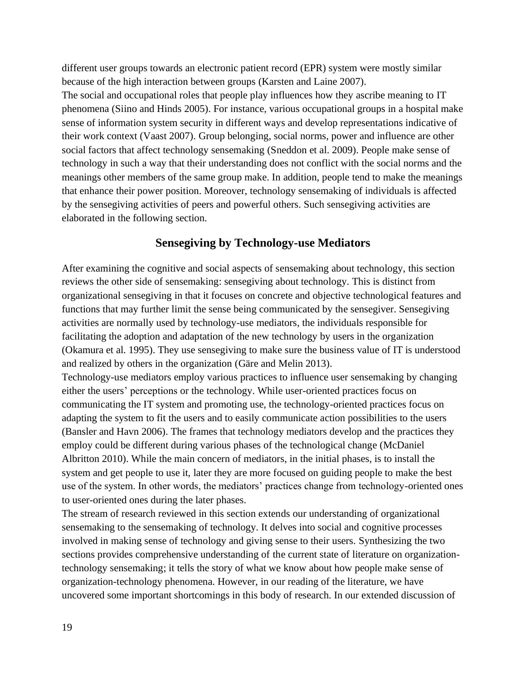different user groups towards an electronic patient record (EPR) system were mostly similar because of the high interaction between groups (Karsten and Laine 2007).

The social and occupational roles that people play influences how they ascribe meaning to IT phenomena (Siino and Hinds 2005). For instance, various occupational groups in a hospital make sense of information system security in different ways and develop representations indicative of their work context (Vaast 2007). Group belonging, social norms, power and influence are other social factors that affect technology sensemaking (Sneddon et al. 2009). People make sense of technology in such a way that their understanding does not conflict with the social norms and the meanings other members of the same group make. In addition, people tend to make the meanings that enhance their power position. Moreover, technology sensemaking of individuals is affected by the sensegiving activities of peers and powerful others. Such sensegiving activities are elaborated in the following section.

#### **Sensegiving by Technology-use Mediators**

After examining the cognitive and social aspects of sensemaking about technology, this section reviews the other side of sensemaking: sensegiving about technology. This is distinct from organizational sensegiving in that it focuses on concrete and objective technological features and functions that may further limit the sense being communicated by the sensegiver. Sensegiving activities are normally used by technology-use mediators, the individuals responsible for facilitating the adoption and adaptation of the new technology by users in the organization (Okamura et al. 1995). They use sensegiving to make sure the business value of IT is understood and realized by others in the organization (Gäre and Melin 2013).

Technology-use mediators employ various practices to influence user sensemaking by changing either the users' perceptions or the technology. While user-oriented practices focus on communicating the IT system and promoting use, the technology-oriented practices focus on adapting the system to fit the users and to easily communicate action possibilities to the users (Bansler and Havn 2006). The frames that technology mediators develop and the practices they employ could be different during various phases of the technological change (McDaniel Albritton 2010). While the main concern of mediators, in the initial phases, is to install the system and get people to use it, later they are more focused on guiding people to make the best use of the system. In other words, the mediators' practices change from technology-oriented ones to user-oriented ones during the later phases.

The stream of research reviewed in this section extends our understanding of organizational sensemaking to the sensemaking of technology. It delves into social and cognitive processes involved in making sense of technology and giving sense to their users. Synthesizing the two sections provides comprehensive understanding of the current state of literature on organizationtechnology sensemaking; it tells the story of what we know about how people make sense of organization-technology phenomena. However, in our reading of the literature, we have uncovered some important shortcomings in this body of research. In our extended discussion of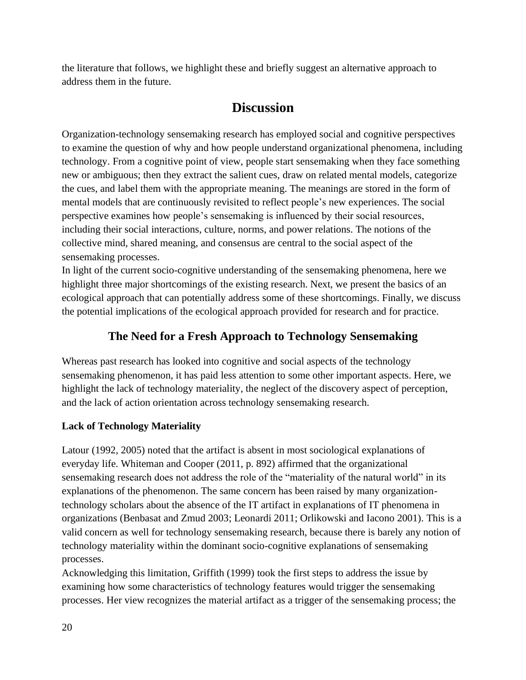the literature that follows, we highlight these and briefly suggest an alternative approach to address them in the future.

# **Discussion**

Organization-technology sensemaking research has employed social and cognitive perspectives to examine the question of why and how people understand organizational phenomena, including technology. From a cognitive point of view, people start sensemaking when they face something new or ambiguous; then they extract the salient cues, draw on related mental models, categorize the cues, and label them with the appropriate meaning. The meanings are stored in the form of mental models that are continuously revisited to reflect people's new experiences. The social perspective examines how people's sensemaking is influenced by their social resources, including their social interactions, culture, norms, and power relations. The notions of the collective mind, shared meaning, and consensus are central to the social aspect of the sensemaking processes.

In light of the current socio-cognitive understanding of the sensemaking phenomena, here we highlight three major shortcomings of the existing research. Next, we present the basics of an ecological approach that can potentially address some of these shortcomings. Finally, we discuss the potential implications of the ecological approach provided for research and for practice.

# **The Need for a Fresh Approach to Technology Sensemaking**

Whereas past research has looked into cognitive and social aspects of the technology sensemaking phenomenon, it has paid less attention to some other important aspects. Here, we highlight the lack of technology materiality, the neglect of the discovery aspect of perception, and the lack of action orientation across technology sensemaking research.

### **Lack of Technology Materiality**

Latour (1992, 2005) noted that the artifact is absent in most sociological explanations of everyday life. Whiteman and Cooper (2011, p. 892) affirmed that the organizational sensemaking research does not address the role of the "materiality of the natural world" in its explanations of the phenomenon. The same concern has been raised by many organizationtechnology scholars about the absence of the IT artifact in explanations of IT phenomena in organizations (Benbasat and Zmud 2003; Leonardi 2011; Orlikowski and Iacono 2001). This is a valid concern as well for technology sensemaking research, because there is barely any notion of technology materiality within the dominant socio-cognitive explanations of sensemaking processes.

Acknowledging this limitation, Griffith (1999) took the first steps to address the issue by examining how some characteristics of technology features would trigger the sensemaking processes. Her view recognizes the material artifact as a trigger of the sensemaking process; the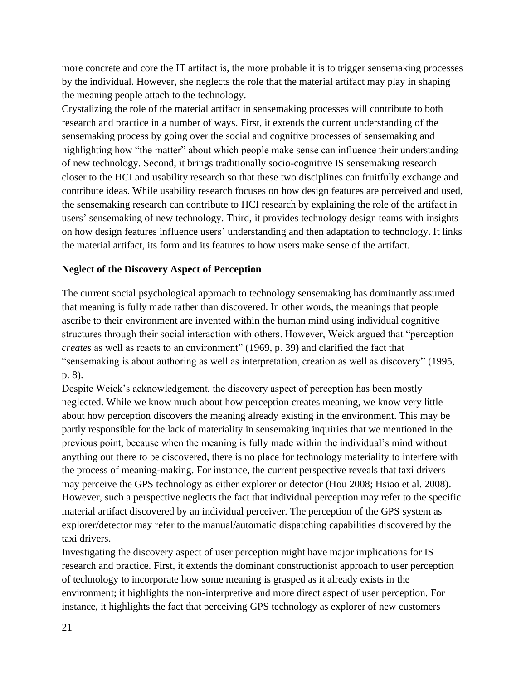more concrete and core the IT artifact is, the more probable it is to trigger sensemaking processes by the individual. However, she neglects the role that the material artifact may play in shaping the meaning people attach to the technology.

Crystalizing the role of the material artifact in sensemaking processes will contribute to both research and practice in a number of ways. First, it extends the current understanding of the sensemaking process by going over the social and cognitive processes of sensemaking and highlighting how "the matter" about which people make sense can influence their understanding of new technology. Second, it brings traditionally socio-cognitive IS sensemaking research closer to the HCI and usability research so that these two disciplines can fruitfully exchange and contribute ideas. While usability research focuses on how design features are perceived and used, the sensemaking research can contribute to HCI research by explaining the role of the artifact in users' sensemaking of new technology. Third, it provides technology design teams with insights on how design features influence users' understanding and then adaptation to technology. It links the material artifact, its form and its features to how users make sense of the artifact.

#### **Neglect of the Discovery Aspect of Perception**

The current social psychological approach to technology sensemaking has dominantly assumed that meaning is fully made rather than discovered. In other words, the meanings that people ascribe to their environment are invented within the human mind using individual cognitive structures through their social interaction with others. However, Weick argued that "perception *creates* as well as reacts to an environment" (1969, p. 39) and clarified the fact that "sensemaking is about authoring as well as interpretation, creation as well as discovery" (1995, p. 8).

Despite Weick's acknowledgement, the discovery aspect of perception has been mostly neglected. While we know much about how perception creates meaning, we know very little about how perception discovers the meaning already existing in the environment. This may be partly responsible for the lack of materiality in sensemaking inquiries that we mentioned in the previous point, because when the meaning is fully made within the individual's mind without anything out there to be discovered, there is no place for technology materiality to interfere with the process of meaning-making. For instance, the current perspective reveals that taxi drivers may perceive the GPS technology as either explorer or detector (Hou 2008; Hsiao et al. 2008). However, such a perspective neglects the fact that individual perception may refer to the specific material artifact discovered by an individual perceiver. The perception of the GPS system as explorer/detector may refer to the manual/automatic dispatching capabilities discovered by the taxi drivers.

Investigating the discovery aspect of user perception might have major implications for IS research and practice. First, it extends the dominant constructionist approach to user perception of technology to incorporate how some meaning is grasped as it already exists in the environment; it highlights the non-interpretive and more direct aspect of user perception. For instance, it highlights the fact that perceiving GPS technology as explorer of new customers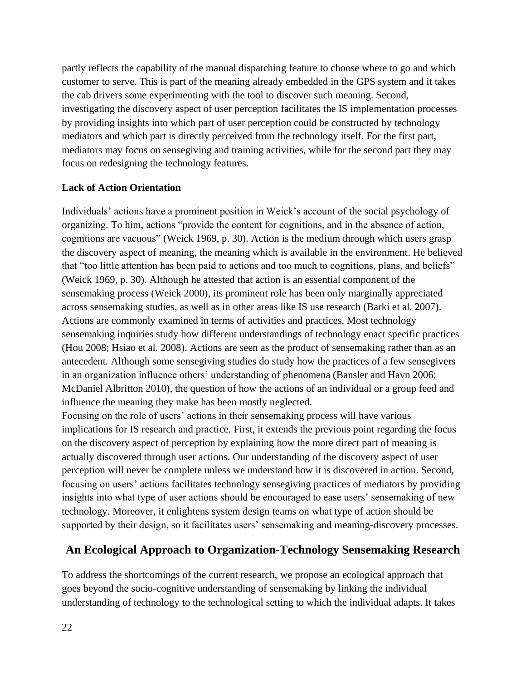partly reflects the capability of the manual dispatching feature to choose where to go and which customer to serve. This is part of the meaning already embedded in the GPS system and it takes the cab drivers some experimenting with the tool to discover such meaning. Second, investigating the discovery aspect of user perception facilitates the IS implementation processes by providing insights into which part of user perception could be constructed by technology mediators and which part is directly perceived from the technology itself. For the first part, mediators may focus on sensegiving and training activities, while for the second part they may focus on redesigning the technology features.

#### **Lack of Action Orientation**

Individuals' actions have a prominent position in Weick's account of the social psychology of organizing. To him, actions "provide the content for cognitions, and in the absence of action, cognitions are vacuous" (Weick 1969, p. 30). Action is the medium through which users grasp the discovery aspect of meaning, the meaning which is available in the environment. He believed that "too little attention has been paid to actions and too much to cognitions, plans, and beliefs" (Weick 1969, p. 30). Although he attested that action is an essential component of the sensemaking process (Weick 2000), its prominent role has been only marginally appreciated across sensemaking studies, as well as in other areas like IS use research (Barki et al. 2007). Actions are commonly examined in terms of activities and practices. Most technology sensemaking inquiries study how different understandings of technology enact specific practices (Hou 2008; Hsiao et al. 2008). Actions are seen as the product of sensemaking rather than as an antecedent. Although some sensegiving studies do study how the practices of a few sensegivers in an organization influence others' understanding of phenomena (Bansler and Havn 2006; McDaniel Albritton 2010), the question of how the actions of an individual or a group feed and influence the meaning they make has been mostly neglected.

Focusing on the role of users' actions in their sensemaking process will have various implications for IS research and practice. First, it extends the previous point regarding the focus on the discovery aspect of perception by explaining how the more direct part of meaning is actually discovered through user actions. Our understanding of the discovery aspect of user perception will never be complete unless we understand how it is discovered in action. Second, focusing on users' actions facilitates technology sensegiving practices of mediators by providing insights into what type of user actions should be encouraged to ease users' sensemaking of new technology. Moreover, it enlightens system design teams on what type of action should be supported by their design, so it facilitates users' sensemaking and meaning-discovery processes.

## **An Ecological Approach to Organization-Technology Sensemaking Research**

To address the shortcomings of the current research, we propose an ecological approach that goes beyond the socio-cognitive understanding of sensemaking by linking the individual understanding of technology to the technological setting to which the individual adapts. It takes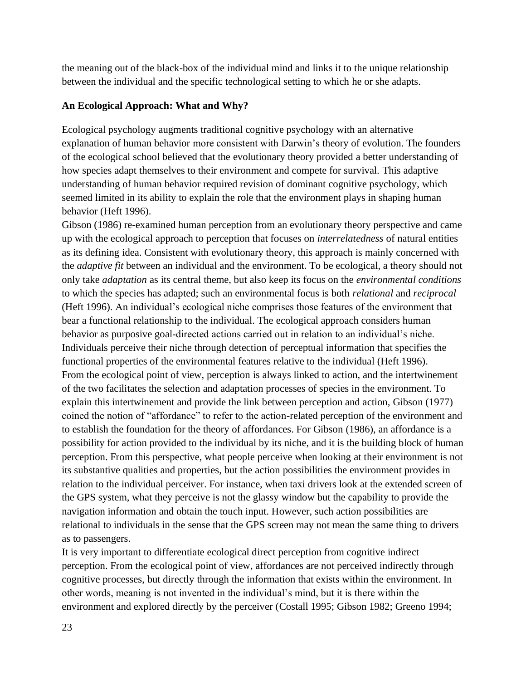the meaning out of the black-box of the individual mind and links it to the unique relationship between the individual and the specific technological setting to which he or she adapts.

#### **An Ecological Approach: What and Why?**

Ecological psychology augments traditional cognitive psychology with an alternative explanation of human behavior more consistent with Darwin's theory of evolution. The founders of the ecological school believed that the evolutionary theory provided a better understanding of how species adapt themselves to their environment and compete for survival. This adaptive understanding of human behavior required revision of dominant cognitive psychology, which seemed limited in its ability to explain the role that the environment plays in shaping human behavior (Heft 1996).

Gibson (1986) re-examined human perception from an evolutionary theory perspective and came up with the ecological approach to perception that focuses on *interrelatedness* of natural entities as its defining idea. Consistent with evolutionary theory, this approach is mainly concerned with the *adaptive fit* between an individual and the environment. To be ecological, a theory should not only take *adaptation* as its central theme, but also keep its focus on the *environmental conditions* to which the species has adapted; such an environmental focus is both *relational* and *reciprocal*  (Heft 1996). An individual's ecological niche comprises those features of the environment that bear a functional relationship to the individual. The ecological approach considers human behavior as purposive goal-directed actions carried out in relation to an individual's niche. Individuals perceive their niche through detection of perceptual information that specifies the functional properties of the environmental features relative to the individual (Heft 1996). From the ecological point of view, perception is always linked to action, and the intertwinement of the two facilitates the selection and adaptation processes of species in the environment. To explain this intertwinement and provide the link between perception and action, Gibson (1977) coined the notion of "affordance" to refer to the action-related perception of the environment and to establish the foundation for the theory of affordances. For Gibson (1986), an affordance is a possibility for action provided to the individual by its niche, and it is the building block of human perception. From this perspective, what people perceive when looking at their environment is not its substantive qualities and properties, but the action possibilities the environment provides in relation to the individual perceiver. For instance, when taxi drivers look at the extended screen of the GPS system, what they perceive is not the glassy window but the capability to provide the navigation information and obtain the touch input. However, such action possibilities are relational to individuals in the sense that the GPS screen may not mean the same thing to drivers as to passengers.

It is very important to differentiate ecological direct perception from cognitive indirect perception. From the ecological point of view, affordances are not perceived indirectly through cognitive processes, but directly through the information that exists within the environment. In other words, meaning is not invented in the individual's mind, but it is there within the environment and explored directly by the perceiver (Costall 1995; Gibson 1982; Greeno 1994;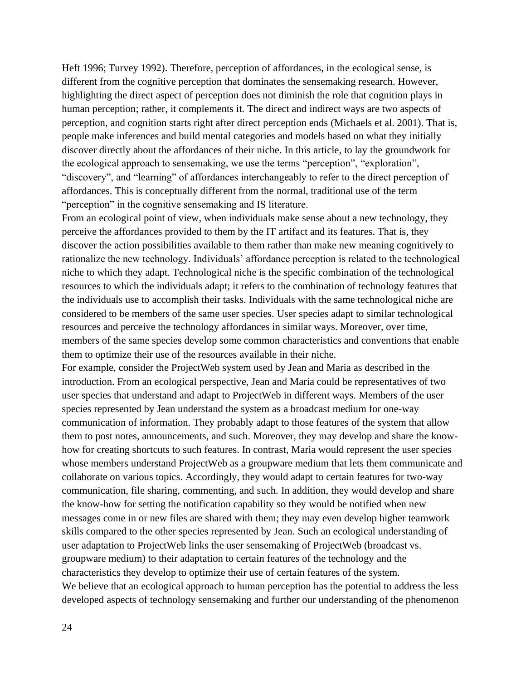Heft 1996; Turvey 1992). Therefore, perception of affordances, in the ecological sense, is different from the cognitive perception that dominates the sensemaking research. However, highlighting the direct aspect of perception does not diminish the role that cognition plays in human perception; rather, it complements it. The direct and indirect ways are two aspects of perception, and cognition starts right after direct perception ends (Michaels et al. 2001). That is, people make inferences and build mental categories and models based on what they initially discover directly about the affordances of their niche. In this article, to lay the groundwork for the ecological approach to sensemaking, we use the terms "perception", "exploration", "discovery", and "learning" of affordances interchangeably to refer to the direct perception of affordances. This is conceptually different from the normal, traditional use of the term "perception" in the cognitive sensemaking and IS literature.

From an ecological point of view, when individuals make sense about a new technology, they perceive the affordances provided to them by the IT artifact and its features. That is, they discover the action possibilities available to them rather than make new meaning cognitively to rationalize the new technology. Individuals' affordance perception is related to the technological niche to which they adapt. Technological niche is the specific combination of the technological resources to which the individuals adapt; it refers to the combination of technology features that the individuals use to accomplish their tasks. Individuals with the same technological niche are considered to be members of the same user species. User species adapt to similar technological resources and perceive the technology affordances in similar ways. Moreover, over time, members of the same species develop some common characteristics and conventions that enable them to optimize their use of the resources available in their niche.

For example, consider the ProjectWeb system used by Jean and Maria as described in the introduction. From an ecological perspective, Jean and Maria could be representatives of two user species that understand and adapt to ProjectWeb in different ways. Members of the user species represented by Jean understand the system as a broadcast medium for one-way communication of information. They probably adapt to those features of the system that allow them to post notes, announcements, and such. Moreover, they may develop and share the knowhow for creating shortcuts to such features. In contrast, Maria would represent the user species whose members understand ProjectWeb as a groupware medium that lets them communicate and collaborate on various topics. Accordingly, they would adapt to certain features for two-way communication, file sharing, commenting, and such. In addition, they would develop and share the know-how for setting the notification capability so they would be notified when new messages come in or new files are shared with them; they may even develop higher teamwork skills compared to the other species represented by Jean. Such an ecological understanding of user adaptation to ProjectWeb links the user sensemaking of ProjectWeb (broadcast vs. groupware medium) to their adaptation to certain features of the technology and the characteristics they develop to optimize their use of certain features of the system. We believe that an ecological approach to human perception has the potential to address the less developed aspects of technology sensemaking and further our understanding of the phenomenon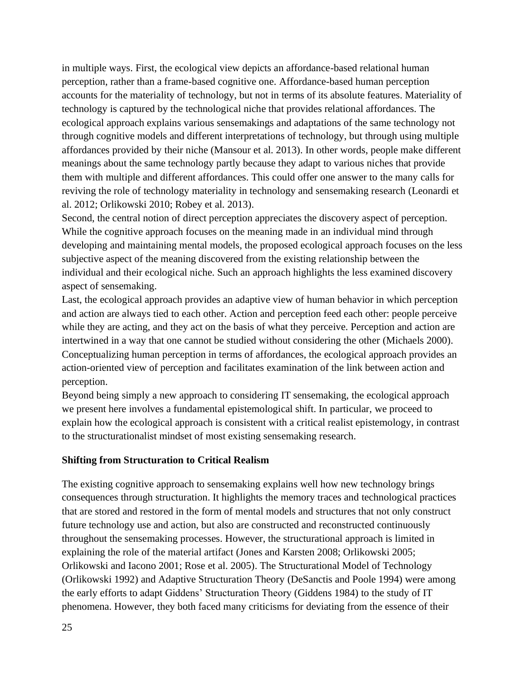in multiple ways. First, the ecological view depicts an affordance-based relational human perception, rather than a frame-based cognitive one. Affordance-based human perception accounts for the materiality of technology, but not in terms of its absolute features. Materiality of technology is captured by the technological niche that provides relational affordances. The ecological approach explains various sensemakings and adaptations of the same technology not through cognitive models and different interpretations of technology, but through using multiple affordances provided by their niche (Mansour et al. 2013). In other words, people make different meanings about the same technology partly because they adapt to various niches that provide them with multiple and different affordances. This could offer one answer to the many calls for reviving the role of technology materiality in technology and sensemaking research (Leonardi et al. 2012; Orlikowski 2010; Robey et al. 2013).

Second, the central notion of direct perception appreciates the discovery aspect of perception. While the cognitive approach focuses on the meaning made in an individual mind through developing and maintaining mental models, the proposed ecological approach focuses on the less subjective aspect of the meaning discovered from the existing relationship between the individual and their ecological niche. Such an approach highlights the less examined discovery aspect of sensemaking.

Last, the ecological approach provides an adaptive view of human behavior in which perception and action are always tied to each other. Action and perception feed each other: people perceive while they are acting, and they act on the basis of what they perceive. Perception and action are intertwined in a way that one cannot be studied without considering the other (Michaels 2000). Conceptualizing human perception in terms of affordances, the ecological approach provides an action-oriented view of perception and facilitates examination of the link between action and perception.

Beyond being simply a new approach to considering IT sensemaking, the ecological approach we present here involves a fundamental epistemological shift. In particular, we proceed to explain how the ecological approach is consistent with a critical realist epistemology, in contrast to the structurationalist mindset of most existing sensemaking research.

#### **Shifting from Structuration to Critical Realism**

The existing cognitive approach to sensemaking explains well how new technology brings consequences through structuration. It highlights the memory traces and technological practices that are stored and restored in the form of mental models and structures that not only construct future technology use and action, but also are constructed and reconstructed continuously throughout the sensemaking processes. However, the structurational approach is limited in explaining the role of the material artifact (Jones and Karsten 2008; Orlikowski 2005; Orlikowski and Iacono 2001; Rose et al. 2005). The Structurational Model of Technology (Orlikowski 1992) and Adaptive Structuration Theory (DeSanctis and Poole 1994) were among the early efforts to adapt Giddens' Structuration Theory (Giddens 1984) to the study of IT phenomena. However, they both faced many criticisms for deviating from the essence of their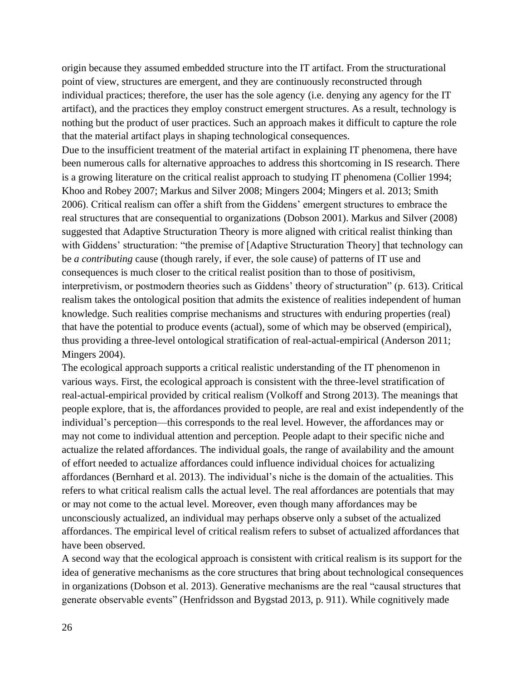origin because they assumed embedded structure into the IT artifact. From the structurational point of view, structures are emergent, and they are continuously reconstructed through individual practices; therefore, the user has the sole agency (i.e. denying any agency for the IT artifact), and the practices they employ construct emergent structures. As a result, technology is nothing but the product of user practices. Such an approach makes it difficult to capture the role that the material artifact plays in shaping technological consequences.

Due to the insufficient treatment of the material artifact in explaining IT phenomena, there have been numerous calls for alternative approaches to address this shortcoming in IS research. There is a growing literature on the critical realist approach to studying IT phenomena (Collier 1994; Khoo and Robey 2007; Markus and Silver 2008; Mingers 2004; Mingers et al. 2013; Smith 2006). Critical realism can offer a shift from the Giddens' emergent structures to embrace the real structures that are consequential to organizations (Dobson 2001). Markus and Silver (2008) suggested that Adaptive Structuration Theory is more aligned with critical realist thinking than with Giddens' structuration: "the premise of [Adaptive Structuration Theory] that technology can be *a contributing* cause (though rarely, if ever, the sole cause) of patterns of IT use and consequences is much closer to the critical realist position than to those of positivism, interpretivism, or postmodern theories such as Giddens' theory of structuration" (p. 613). Critical realism takes the ontological position that admits the existence of realities independent of human knowledge. Such realities comprise mechanisms and structures with enduring properties (real) that have the potential to produce events (actual), some of which may be observed (empirical), thus providing a three-level ontological stratification of real-actual-empirical (Anderson 2011; Mingers 2004).

The ecological approach supports a critical realistic understanding of the IT phenomenon in various ways. First, the ecological approach is consistent with the three-level stratification of real-actual-empirical provided by critical realism (Volkoff and Strong 2013). The meanings that people explore, that is, the affordances provided to people, are real and exist independently of the individual's perception—this corresponds to the real level. However, the affordances may or may not come to individual attention and perception. People adapt to their specific niche and actualize the related affordances. The individual goals, the range of availability and the amount of effort needed to actualize affordances could influence individual choices for actualizing affordances (Bernhard et al. 2013). The individual's niche is the domain of the actualities. This refers to what critical realism calls the actual level. The real affordances are potentials that may or may not come to the actual level. Moreover, even though many affordances may be unconsciously actualized, an individual may perhaps observe only a subset of the actualized affordances. The empirical level of critical realism refers to subset of actualized affordances that have been observed.

A second way that the ecological approach is consistent with critical realism is its support for the idea of generative mechanisms as the core structures that bring about technological consequences in organizations (Dobson et al. 2013). Generative mechanisms are the real "causal structures that generate observable events" (Henfridsson and Bygstad 2013, p. 911). While cognitively made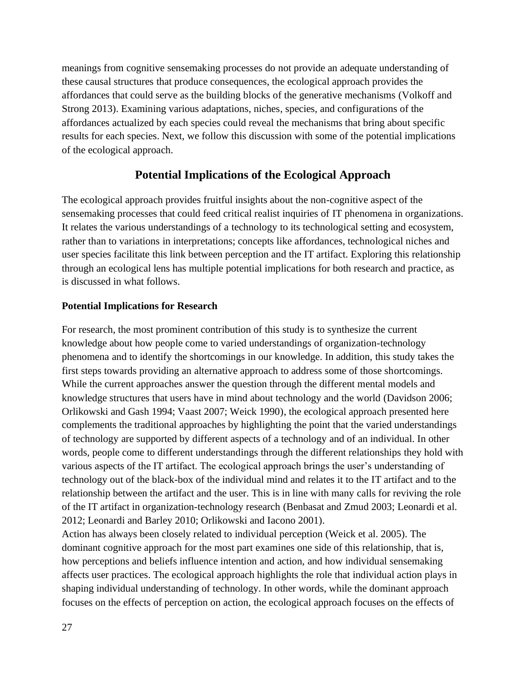meanings from cognitive sensemaking processes do not provide an adequate understanding of these causal structures that produce consequences, the ecological approach provides the affordances that could serve as the building blocks of the generative mechanisms (Volkoff and Strong 2013). Examining various adaptations, niches, species, and configurations of the affordances actualized by each species could reveal the mechanisms that bring about specific results for each species. Next, we follow this discussion with some of the potential implications of the ecological approach.

## **Potential Implications of the Ecological Approach**

The ecological approach provides fruitful insights about the non-cognitive aspect of the sensemaking processes that could feed critical realist inquiries of IT phenomena in organizations. It relates the various understandings of a technology to its technological setting and ecosystem, rather than to variations in interpretations; concepts like affordances, technological niches and user species facilitate this link between perception and the IT artifact. Exploring this relationship through an ecological lens has multiple potential implications for both research and practice, as is discussed in what follows.

#### **Potential Implications for Research**

For research, the most prominent contribution of this study is to synthesize the current knowledge about how people come to varied understandings of organization-technology phenomena and to identify the shortcomings in our knowledge. In addition, this study takes the first steps towards providing an alternative approach to address some of those shortcomings. While the current approaches answer the question through the different mental models and knowledge structures that users have in mind about technology and the world (Davidson 2006; Orlikowski and Gash 1994; Vaast 2007; Weick 1990), the ecological approach presented here complements the traditional approaches by highlighting the point that the varied understandings of technology are supported by different aspects of a technology and of an individual. In other words, people come to different understandings through the different relationships they hold with various aspects of the IT artifact. The ecological approach brings the user's understanding of technology out of the black-box of the individual mind and relates it to the IT artifact and to the relationship between the artifact and the user. This is in line with many calls for reviving the role of the IT artifact in organization-technology research (Benbasat and Zmud 2003; Leonardi et al. 2012; Leonardi and Barley 2010; Orlikowski and Iacono 2001).

Action has always been closely related to individual perception (Weick et al. 2005). The dominant cognitive approach for the most part examines one side of this relationship, that is, how perceptions and beliefs influence intention and action, and how individual sensemaking affects user practices. The ecological approach highlights the role that individual action plays in shaping individual understanding of technology. In other words, while the dominant approach focuses on the effects of perception on action, the ecological approach focuses on the effects of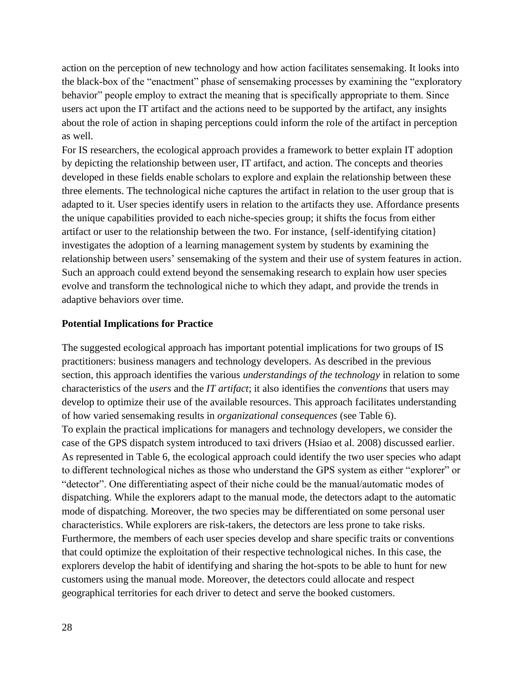action on the perception of new technology and how action facilitates sensemaking. It looks into the black-box of the "enactment" phase of sensemaking processes by examining the "exploratory behavior" people employ to extract the meaning that is specifically appropriate to them. Since users act upon the IT artifact and the actions need to be supported by the artifact, any insights about the role of action in shaping perceptions could inform the role of the artifact in perception as well.

For IS researchers, the ecological approach provides a framework to better explain IT adoption by depicting the relationship between user, IT artifact, and action. The concepts and theories developed in these fields enable scholars to explore and explain the relationship between these three elements. The technological niche captures the artifact in relation to the user group that is adapted to it. User species identify users in relation to the artifacts they use. Affordance presents the unique capabilities provided to each niche-species group; it shifts the focus from either artifact or user to the relationship between the two. For instance, {self-identifying citation} investigates the adoption of a learning management system by students by examining the relationship between users' sensemaking of the system and their use of system features in action. Such an approach could extend beyond the sensemaking research to explain how user species evolve and transform the technological niche to which they adapt, and provide the trends in adaptive behaviors over time.

#### **Potential Implications for Practice**

The suggested ecological approach has important potential implications for two groups of IS practitioners: business managers and technology developers. As described in the previous section, this approach identifies the various *understandings of the technology* in relation to some characteristics of the *users* and the *IT artifact*; it also identifies the *conventions* that users may develop to optimize their use of the available resources. This approach facilitates understanding of how varied sensemaking results in *organizational consequences* (see [Table 6\)](#page-29-0). To explain the practical implications for managers and technology developers, we consider the case of the GPS dispatch system introduced to taxi drivers (Hsiao et al. 2008) discussed earlier. As represented in [Table 6,](#page-29-0) the ecological approach could identify the two user species who adapt to different technological niches as those who understand the GPS system as either "explorer" or "detector". One differentiating aspect of their niche could be the manual/automatic modes of dispatching. While the explorers adapt to the manual mode, the detectors adapt to the automatic mode of dispatching. Moreover, the two species may be differentiated on some personal user characteristics. While explorers are risk-takers, the detectors are less prone to take risks. Furthermore, the members of each user species develop and share specific traits or conventions that could optimize the exploitation of their respective technological niches. In this case, the explorers develop the habit of identifying and sharing the hot-spots to be able to hunt for new customers using the manual mode. Moreover, the detectors could allocate and respect geographical territories for each driver to detect and serve the booked customers.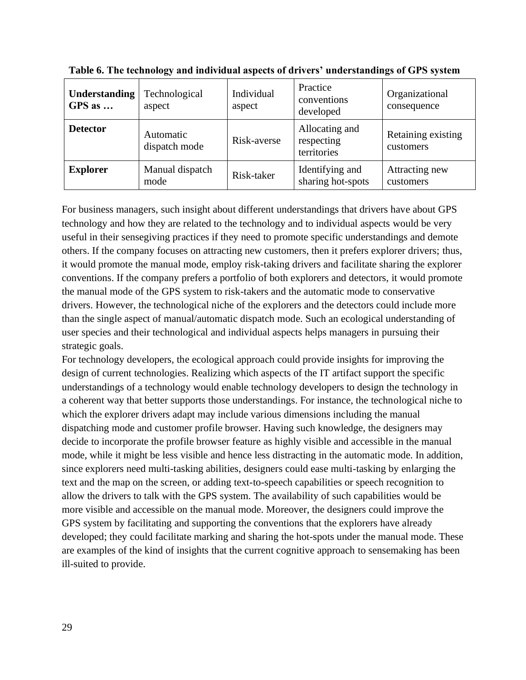| Understanding<br>$GPS$ as $\ldots$ | Technological<br>aspect    | Individual<br>aspect | Practice<br>conventions<br>developed        | Organizational<br>consequence   |
|------------------------------------|----------------------------|----------------------|---------------------------------------------|---------------------------------|
| <b>Detector</b>                    | Automatic<br>dispatch mode | Risk-averse          | Allocating and<br>respecting<br>territories | Retaining existing<br>customers |
| <b>Explorer</b>                    | Manual dispatch<br>mode    | Risk-taker           | Identifying and<br>sharing hot-spots        | Attracting new<br>customers     |

<span id="page-29-0"></span>**Table 6. The technology and individual aspects of drivers' understandings of GPS system**

For business managers, such insight about different understandings that drivers have about GPS technology and how they are related to the technology and to individual aspects would be very useful in their sensegiving practices if they need to promote specific understandings and demote others. If the company focuses on attracting new customers, then it prefers explorer drivers; thus, it would promote the manual mode, employ risk-taking drivers and facilitate sharing the explorer conventions. If the company prefers a portfolio of both explorers and detectors, it would promote the manual mode of the GPS system to risk-takers and the automatic mode to conservative drivers. However, the technological niche of the explorers and the detectors could include more than the single aspect of manual/automatic dispatch mode. Such an ecological understanding of user species and their technological and individual aspects helps managers in pursuing their strategic goals.

For technology developers, the ecological approach could provide insights for improving the design of current technologies. Realizing which aspects of the IT artifact support the specific understandings of a technology would enable technology developers to design the technology in a coherent way that better supports those understandings. For instance, the technological niche to which the explorer drivers adapt may include various dimensions including the manual dispatching mode and customer profile browser. Having such knowledge, the designers may decide to incorporate the profile browser feature as highly visible and accessible in the manual mode, while it might be less visible and hence less distracting in the automatic mode. In addition, since explorers need multi-tasking abilities, designers could ease multi-tasking by enlarging the text and the map on the screen, or adding text-to-speech capabilities or speech recognition to allow the drivers to talk with the GPS system. The availability of such capabilities would be more visible and accessible on the manual mode. Moreover, the designers could improve the GPS system by facilitating and supporting the conventions that the explorers have already developed; they could facilitate marking and sharing the hot-spots under the manual mode. These are examples of the kind of insights that the current cognitive approach to sensemaking has been ill-suited to provide.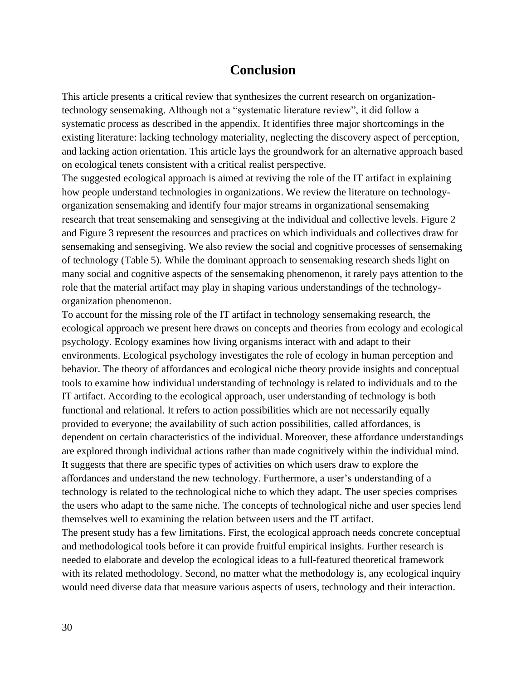# **Conclusion**

This article presents a critical review that synthesizes the current research on organizationtechnology sensemaking. Although not a "systematic literature review", it did follow a systematic process as described in the appendix. It identifies three major shortcomings in the existing literature: lacking technology materiality, neglecting the discovery aspect of perception, and lacking action orientation. This article lays the groundwork for an alternative approach based on ecological tenets consistent with a critical realist perspective.

The suggested ecological approach is aimed at reviving the role of the IT artifact in explaining how people understand technologies in organizations. We review the literature on technologyorganization sensemaking and identify four major streams in organizational sensemaking research that treat sensemaking and sensegiving at the individual and collective levels. [Figure 2](#page-9-0) and [Figure 3](#page-13-0) represent the resources and practices on which individuals and collectives draw for sensemaking and sensegiving. We also review the social and cognitive processes of sensemaking of technology [\(Table 5\)](#page-17-0). While the dominant approach to sensemaking research sheds light on many social and cognitive aspects of the sensemaking phenomenon, it rarely pays attention to the role that the material artifact may play in shaping various understandings of the technologyorganization phenomenon.

To account for the missing role of the IT artifact in technology sensemaking research, the ecological approach we present here draws on concepts and theories from ecology and ecological psychology. Ecology examines how living organisms interact with and adapt to their environments. Ecological psychology investigates the role of ecology in human perception and behavior. The theory of affordances and ecological niche theory provide insights and conceptual tools to examine how individual understanding of technology is related to individuals and to the IT artifact. According to the ecological approach, user understanding of technology is both functional and relational. It refers to action possibilities which are not necessarily equally provided to everyone; the availability of such action possibilities, called affordances, is dependent on certain characteristics of the individual. Moreover, these affordance understandings are explored through individual actions rather than made cognitively within the individual mind. It suggests that there are specific types of activities on which users draw to explore the affordances and understand the new technology. Furthermore, a user's understanding of a technology is related to the technological niche to which they adapt. The user species comprises the users who adapt to the same niche. The concepts of technological niche and user species lend themselves well to examining the relation between users and the IT artifact.

The present study has a few limitations. First, the ecological approach needs concrete conceptual and methodological tools before it can provide fruitful empirical insights. Further research is needed to elaborate and develop the ecological ideas to a full-featured theoretical framework with its related methodology. Second, no matter what the methodology is, any ecological inquiry would need diverse data that measure various aspects of users, technology and their interaction.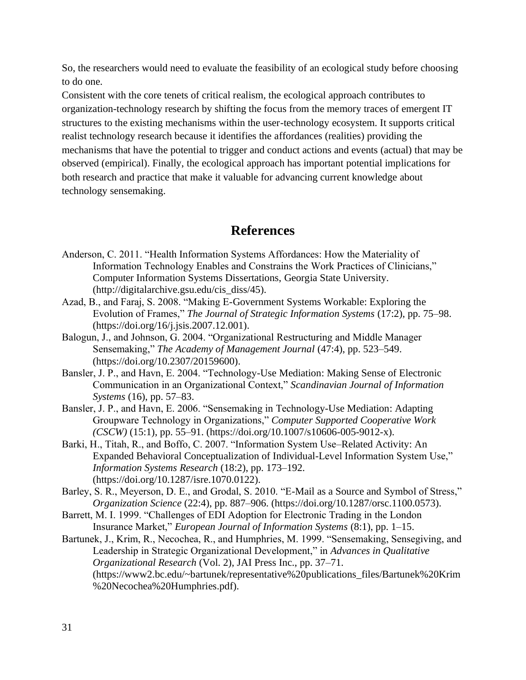So, the researchers would need to evaluate the feasibility of an ecological study before choosing to do one.

Consistent with the core tenets of critical realism, the ecological approach contributes to organization-technology research by shifting the focus from the memory traces of emergent IT structures to the existing mechanisms within the user-technology ecosystem. It supports critical realist technology research because it identifies the affordances (realities) providing the mechanisms that have the potential to trigger and conduct actions and events (actual) that may be observed (empirical). Finally, the ecological approach has important potential implications for both research and practice that make it valuable for advancing current knowledge about technology sensemaking.

# **References**

- Anderson, C. 2011. "Health Information Systems Affordances: How the Materiality of Information Technology Enables and Constrains the Work Practices of Clinicians," Computer Information Systems Dissertations, Georgia State University. (http://digitalarchive.gsu.edu/cis\_diss/45).
- Azad, B., and Faraj, S. 2008. "Making E-Government Systems Workable: Exploring the Evolution of Frames," *The Journal of Strategic Information Systems* (17:2), pp. 75–98. (https://doi.org/16/j.jsis.2007.12.001).
- Balogun, J., and Johnson, G. 2004. "Organizational Restructuring and Middle Manager Sensemaking," *The Academy of Management Journal* (47:4), pp. 523–549. (https://doi.org/10.2307/20159600).
- Bansler, J. P., and Havn, E. 2004. "Technology-Use Mediation: Making Sense of Electronic Communication in an Organizational Context," *Scandinavian Journal of Information Systems* (16), pp. 57–83.
- Bansler, J. P., and Havn, E. 2006. "Sensemaking in Technology-Use Mediation: Adapting Groupware Technology in Organizations," *Computer Supported Cooperative Work (CSCW)* (15:1), pp. 55–91. (https://doi.org/10.1007/s10606-005-9012-x).
- Barki, H., Titah, R., and Boffo, C. 2007. "Information System Use–Related Activity: An Expanded Behavioral Conceptualization of Individual-Level Information System Use," *Information Systems Research* (18:2), pp. 173–192. (https://doi.org/10.1287/isre.1070.0122).
- Barley, S. R., Meyerson, D. E., and Grodal, S. 2010. "E-Mail as a Source and Symbol of Stress," *Organization Science* (22:4), pp. 887–906. (https://doi.org/10.1287/orsc.1100.0573).
- Barrett, M. I. 1999. "Challenges of EDI Adoption for Electronic Trading in the London Insurance Market," *European Journal of Information Systems* (8:1), pp. 1–15.
- Bartunek, J., Krim, R., Necochea, R., and Humphries, M. 1999. "Sensemaking, Sensegiving, and Leadership in Strategic Organizational Development," in *Advances in Qualitative Organizational Research* (Vol. 2), JAI Press Inc., pp. 37–71. (https://www2.bc.edu/~bartunek/representative%20publications\_files/Bartunek%20Krim %20Necochea%20Humphries.pdf).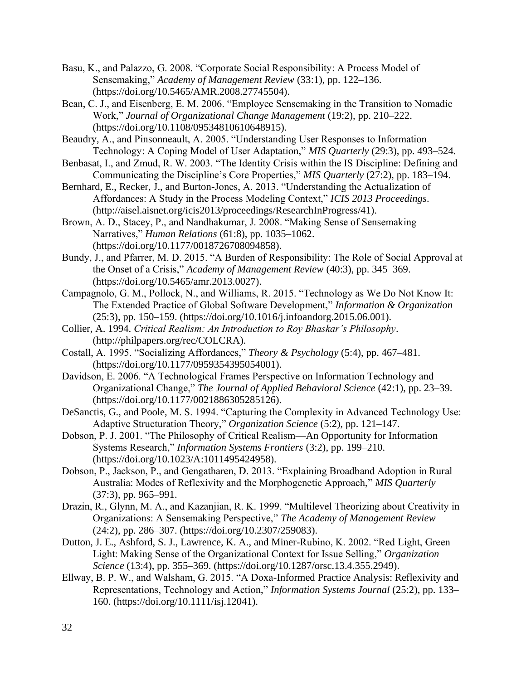- Basu, K., and Palazzo, G. 2008. "Corporate Social Responsibility: A Process Model of Sensemaking," *Academy of Management Review* (33:1), pp. 122–136. (https://doi.org/10.5465/AMR.2008.27745504).
- Bean, C. J., and Eisenberg, E. M. 2006. "Employee Sensemaking in the Transition to Nomadic Work," *Journal of Organizational Change Management* (19:2), pp. 210–222. (https://doi.org/10.1108/09534810610648915).
- Beaudry, A., and Pinsonneault, A. 2005. "Understanding User Responses to Information Technology: A Coping Model of User Adaptation," *MIS Quarterly* (29:3), pp. 493–524.
- Benbasat, I., and Zmud, R. W. 2003. "The Identity Crisis within the IS Discipline: Defining and Communicating the Discipline's Core Properties," *MIS Quarterly* (27:2), pp. 183–194.
- Bernhard, E., Recker, J., and Burton-Jones, A. 2013. "Understanding the Actualization of Affordances: A Study in the Process Modeling Context," *ICIS 2013 Proceedings*. (http://aisel.aisnet.org/icis2013/proceedings/ResearchInProgress/41).
- Brown, A. D., Stacey, P., and Nandhakumar, J. 2008. "Making Sense of Sensemaking Narratives," *Human Relations* (61:8), pp. 1035–1062. (https://doi.org/10.1177/0018726708094858).
- Bundy, J., and Pfarrer, M. D. 2015. "A Burden of Responsibility: The Role of Social Approval at the Onset of a Crisis," *Academy of Management Review* (40:3), pp. 345–369. (https://doi.org/10.5465/amr.2013.0027).
- Campagnolo, G. M., Pollock, N., and Williams, R. 2015. "Technology as We Do Not Know It: The Extended Practice of Global Software Development," *Information & Organization* (25:3), pp. 150–159. (https://doi.org/10.1016/j.infoandorg.2015.06.001).
- Collier, A. 1994. *Critical Realism: An Introduction to Roy Bhaskar's Philosophy*. (http://philpapers.org/rec/COLCRA).
- Costall, A. 1995. "Socializing Affordances," *Theory & Psychology* (5:4), pp. 467–481. (https://doi.org/10.1177/0959354395054001).
- Davidson, E. 2006. "A Technological Frames Perspective on Information Technology and Organizational Change," *The Journal of Applied Behavioral Science* (42:1), pp. 23–39. (https://doi.org/10.1177/0021886305285126).
- DeSanctis, G., and Poole, M. S. 1994. "Capturing the Complexity in Advanced Technology Use: Adaptive Structuration Theory," *Organization Science* (5:2), pp. 121–147.
- Dobson, P. J. 2001. "The Philosophy of Critical Realism—An Opportunity for Information Systems Research," *Information Systems Frontiers* (3:2), pp. 199–210. (https://doi.org/10.1023/A:1011495424958).
- Dobson, P., Jackson, P., and Gengatharen, D. 2013. "Explaining Broadband Adoption in Rural Australia: Modes of Reflexivity and the Morphogenetic Approach," *MIS Quarterly* (37:3), pp. 965–991.
- Drazin, R., Glynn, M. A., and Kazanjian, R. K. 1999. "Multilevel Theorizing about Creativity in Organizations: A Sensemaking Perspective," *The Academy of Management Review* (24:2), pp. 286–307. (https://doi.org/10.2307/259083).
- Dutton, J. E., Ashford, S. J., Lawrence, K. A., and Miner-Rubino, K. 2002. "Red Light, Green Light: Making Sense of the Organizational Context for Issue Selling," *Organization Science* (13:4), pp. 355–369. (https://doi.org/10.1287/orsc.13.4.355.2949).
- Ellway, B. P. W., and Walsham, G. 2015. "A Doxa-Informed Practice Analysis: Reflexivity and Representations, Technology and Action," *Information Systems Journal* (25:2), pp. 133– 160. (https://doi.org/10.1111/isj.12041).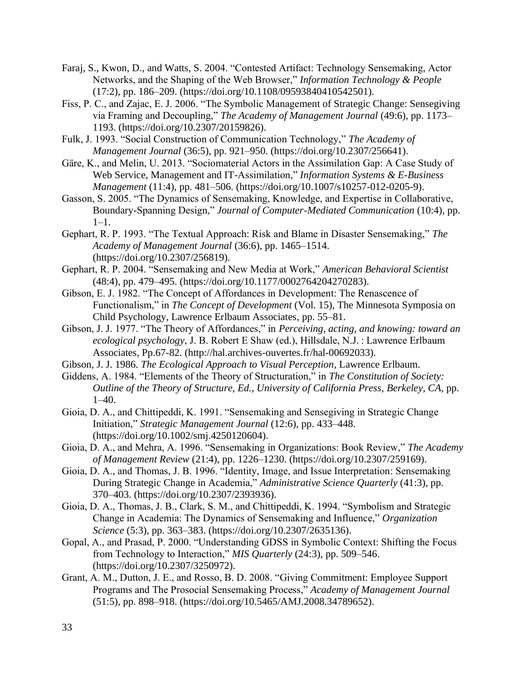- Faraj, S., Kwon, D., and Watts, S. 2004. "Contested Artifact: Technology Sensemaking, Actor Networks, and the Shaping of the Web Browser," *Information Technology & People* (17:2), pp. 186–209. (https://doi.org/10.1108/09593840410542501).
- Fiss, P. C., and Zajac, E. J. 2006. "The Symbolic Management of Strategic Change: Sensegiving via Framing and Decoupling," *The Academy of Management Journal* (49:6), pp. 1173– 1193. (https://doi.org/10.2307/20159826).
- Fulk, J. 1993. "Social Construction of Communication Technology," *The Academy of Management Journal* (36:5), pp. 921–950. (https://doi.org/10.2307/256641).
- Gäre, K., and Melin, U. 2013. "Sociomaterial Actors in the Assimilation Gap: A Case Study of Web Service, Management and IT-Assimilation," *Information Systems & E-Business Management* (11:4), pp. 481–506. (https://doi.org/10.1007/s10257-012-0205-9).
- Gasson, S. 2005. "The Dynamics of Sensemaking, Knowledge, and Expertise in Collaborative, Boundary-Spanning Design," *Journal of Computer-Mediated Communication* (10:4), pp.  $1-1.$
- Gephart, R. P. 1993. "The Textual Approach: Risk and Blame in Disaster Sensemaking," *The Academy of Management Journal* (36:6), pp. 1465–1514. (https://doi.org/10.2307/256819).
- Gephart, R. P. 2004. "Sensemaking and New Media at Work," *American Behavioral Scientist* (48:4), pp. 479–495. (https://doi.org/10.1177/0002764204270283).
- Gibson, E. J. 1982. "The Concept of Affordances in Development: The Renascence of Functionalism," in *The Concept of Development* (Vol. 15), The Minnesota Symposia on Child Psychology, Lawrence Erlbaum Associates, pp. 55–81.
- Gibson, J. J. 1977. "The Theory of Affordances," in *Perceiving, acting, and knowing: toward an ecological psychology*, J. B. Robert E Shaw (ed.), Hillsdale, N.J. : Lawrence Erlbaum Associates, Pp.67-82. (http://hal.archives-ouvertes.fr/hal-00692033).
- Gibson, J. J. 1986. *The Ecological Approach to Visual Perception*, Lawrence Erlbaum.
- Giddens, A. 1984. "Elements of the Theory of Structuration," in *The Constitution of Society: Outline of the Theory of Structure, Ed., University of California Press, Berkeley, CA*, pp. 1–40.
- Gioia, D. A., and Chittipeddi, K. 1991. "Sensemaking and Sensegiving in Strategic Change Initiation," *Strategic Management Journal* (12:6), pp. 433–448. (https://doi.org/10.1002/smj.4250120604).
- Gioia, D. A., and Mehra, A. 1996. "Sensemaking in Organizations: Book Review," *The Academy of Management Review* (21:4), pp. 1226–1230. (https://doi.org/10.2307/259169).
- Gioia, D. A., and Thomas, J. B. 1996. "Identity, Image, and Issue Interpretation: Sensemaking During Strategic Change in Academia," *Administrative Science Quarterly* (41:3), pp. 370–403. (https://doi.org/10.2307/2393936).
- Gioia, D. A., Thomas, J. B., Clark, S. M., and Chittipeddi, K. 1994. "Symbolism and Strategic Change in Academia: The Dynamics of Sensemaking and Influence," *Organization Science* (5:3), pp. 363–383. (https://doi.org/10.2307/2635136).
- Gopal, A., and Prasad, P. 2000. "Understanding GDSS in Symbolic Context: Shifting the Focus from Technology to Interaction," *MIS Quarterly* (24:3), pp. 509–546. (https://doi.org/10.2307/3250972).
- Grant, A. M., Dutton, J. E., and Rosso, B. D. 2008. "Giving Commitment: Employee Support Programs and The Prosocial Sensemaking Process," *Academy of Management Journal* (51:5), pp. 898–918. (https://doi.org/10.5465/AMJ.2008.34789652).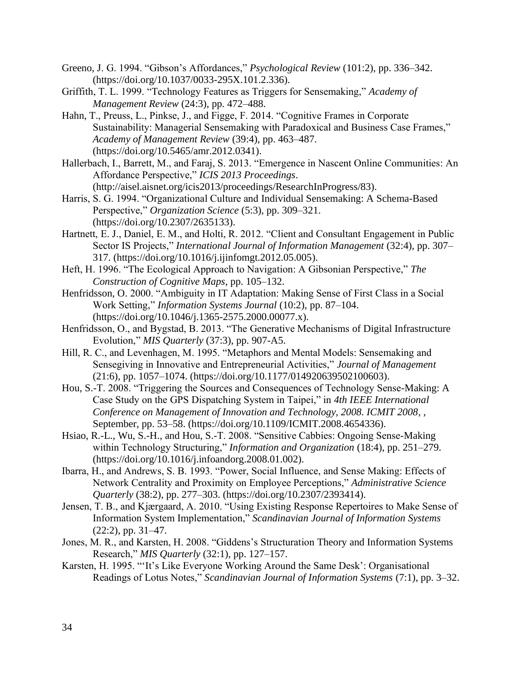- Greeno, J. G. 1994. "Gibson's Affordances," *Psychological Review* (101:2), pp. 336–342. (https://doi.org/10.1037/0033-295X.101.2.336).
- Griffith, T. L. 1999. "Technology Features as Triggers for Sensemaking," *Academy of Management Review* (24:3), pp. 472–488.
- Hahn, T., Preuss, L., Pinkse, J., and Figge, F. 2014. "Cognitive Frames in Corporate Sustainability: Managerial Sensemaking with Paradoxical and Business Case Frames," *Academy of Management Review* (39:4), pp. 463–487. (https://doi.org/10.5465/amr.2012.0341).
- Hallerbach, I., Barrett, M., and Faraj, S. 2013. "Emergence in Nascent Online Communities: An Affordance Perspective," *ICIS 2013 Proceedings*. (http://aisel.aisnet.org/icis2013/proceedings/ResearchInProgress/83).
- Harris, S. G. 1994. "Organizational Culture and Individual Sensemaking: A Schema-Based Perspective," *Organization Science* (5:3), pp. 309–321. (https://doi.org/10.2307/2635133).
- Hartnett, E. J., Daniel, E. M., and Holti, R. 2012. "Client and Consultant Engagement in Public Sector IS Projects," *International Journal of Information Management* (32:4), pp. 307– 317. (https://doi.org/10.1016/j.ijinfomgt.2012.05.005).
- Heft, H. 1996. "The Ecological Approach to Navigation: A Gibsonian Perspective," *The Construction of Cognitive Maps*, pp. 105–132.
- Henfridsson, O. 2000. "Ambiguity in IT Adaptation: Making Sense of First Class in a Social Work Setting," *Information Systems Journal* (10:2), pp. 87–104. (https://doi.org/10.1046/j.1365-2575.2000.00077.x).
- Henfridsson, O., and Bygstad, B. 2013. "The Generative Mechanisms of Digital Infrastructure Evolution," *MIS Quarterly* (37:3), pp. 907-A5.
- Hill, R. C., and Levenhagen, M. 1995. "Metaphors and Mental Models: Sensemaking and Sensegiving in Innovative and Entrepreneurial Activities," *Journal of Management* (21:6), pp. 1057–1074. (https://doi.org/10.1177/014920639502100603).
- Hou, S.-T. 2008. "Triggering the Sources and Consequences of Technology Sense-Making: A Case Study on the GPS Dispatching System in Taipei," in *4th IEEE International Conference on Management of Innovation and Technology, 2008. ICMIT 2008*, , September, pp. 53–58. (https://doi.org/10.1109/ICMIT.2008.4654336).
- Hsiao, R.-L., Wu, S.-H., and Hou, S.-T. 2008. "Sensitive Cabbies: Ongoing Sense-Making within Technology Structuring," *Information and Organization* (18:4), pp. 251–279. (https://doi.org/10.1016/j.infoandorg.2008.01.002).
- Ibarra, H., and Andrews, S. B. 1993. "Power, Social Influence, and Sense Making: Effects of Network Centrality and Proximity on Employee Perceptions," *Administrative Science Quarterly* (38:2), pp. 277–303. (https://doi.org/10.2307/2393414).
- Jensen, T. B., and Kjærgaard, A. 2010. "Using Existing Response Repertoires to Make Sense of Information System Implementation," *Scandinavian Journal of Information Systems* (22:2), pp. 31–47.
- Jones, M. R., and Karsten, H. 2008. "Giddens's Structuration Theory and Information Systems Research," *MIS Quarterly* (32:1), pp. 127–157.
- Karsten, H. 1995. "'It's Like Everyone Working Around the Same Desk': Organisational Readings of Lotus Notes," *Scandinavian Journal of Information Systems* (7:1), pp. 3–32.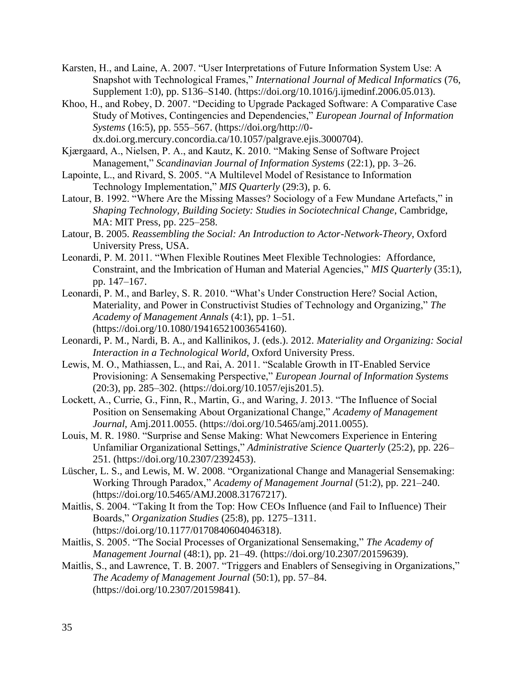- Karsten, H., and Laine, A. 2007. "User Interpretations of Future Information System Use: A Snapshot with Technological Frames," *International Journal of Medical Informatics* (76, Supplement 1:0), pp. S136–S140. (https://doi.org/10.1016/j.ijmedinf.2006.05.013).
- Khoo, H., and Robey, D. 2007. "Deciding to Upgrade Packaged Software: A Comparative Case Study of Motives, Contingencies and Dependencies," *European Journal of Information Systems* (16:5), pp. 555–567. (https://doi.org/http://0
	- dx.doi.org.mercury.concordia.ca/10.1057/palgrave.ejis.3000704).
- Kjærgaard, A., Nielsen, P. A., and Kautz, K. 2010. "Making Sense of Software Project Management," *Scandinavian Journal of Information Systems* (22:1), pp. 3–26.
- Lapointe, L., and Rivard, S. 2005. "A Multilevel Model of Resistance to Information Technology Implementation," *MIS Quarterly* (29:3), p. 6.
- Latour, B. 1992. "Where Are the Missing Masses? Sociology of a Few Mundane Artefacts," in *Shaping Technology, Building Society: Studies in Sociotechnical Change*, Cambridge, MA: MIT Press, pp. 225–258.
- Latour, B. 2005. *Reassembling the Social: An Introduction to Actor-Network-Theory*, Oxford University Press, USA.
- Leonardi, P. M. 2011. "When Flexible Routines Meet Flexible Technologies: Affordance, Constraint, and the Imbrication of Human and Material Agencies," *MIS Quarterly* (35:1), pp. 147–167.
- Leonardi, P. M., and Barley, S. R. 2010. "What's Under Construction Here? Social Action, Materiality, and Power in Constructivist Studies of Technology and Organizing," *The Academy of Management Annals* (4:1), pp. 1–51. (https://doi.org/10.1080/19416521003654160).
- Leonardi, P. M., Nardi, B. A., and Kallinikos, J. (eds.). 2012. *Materiality and Organizing: Social Interaction in a Technological World*, Oxford University Press.
- Lewis, M. O., Mathiassen, L., and Rai, A. 2011. "Scalable Growth in IT-Enabled Service Provisioning: A Sensemaking Perspective," *European Journal of Information Systems* (20:3), pp. 285–302. (https://doi.org/10.1057/ejis201.5).
- Lockett, A., Currie, G., Finn, R., Martin, G., and Waring, J. 2013. "The Influence of Social Position on Sensemaking About Organizational Change," *Academy of Management Journal*, Amj.2011.0055. (https://doi.org/10.5465/amj.2011.0055).
- Louis, M. R. 1980. "Surprise and Sense Making: What Newcomers Experience in Entering Unfamiliar Organizational Settings," *Administrative Science Quarterly* (25:2), pp. 226– 251. (https://doi.org/10.2307/2392453).
- Lüscher, L. S., and Lewis, M. W. 2008. "Organizational Change and Managerial Sensemaking: Working Through Paradox," *Academy of Management Journal* (51:2), pp. 221–240. (https://doi.org/10.5465/AMJ.2008.31767217).
- Maitlis, S. 2004. "Taking It from the Top: How CEOs Influence (and Fail to Influence) Their Boards," *Organization Studies* (25:8), pp. 1275–1311. (https://doi.org/10.1177/0170840604046318).
- Maitlis, S. 2005. "The Social Processes of Organizational Sensemaking," *The Academy of Management Journal* (48:1), pp. 21–49. (https://doi.org/10.2307/20159639).
- Maitlis, S., and Lawrence, T. B. 2007. "Triggers and Enablers of Sensegiving in Organizations," *The Academy of Management Journal* (50:1), pp. 57–84. (https://doi.org/10.2307/20159841).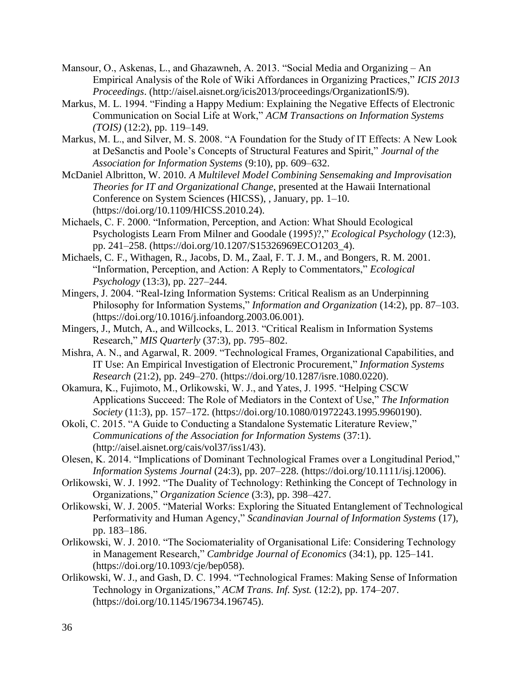- Mansour, O., Askenas, L., and Ghazawneh, A. 2013. "Social Media and Organizing An Empirical Analysis of the Role of Wiki Affordances in Organizing Practices," *ICIS 2013 Proceedings*. (http://aisel.aisnet.org/icis2013/proceedings/OrganizationIS/9).
- Markus, M. L. 1994. "Finding a Happy Medium: Explaining the Negative Effects of Electronic Communication on Social Life at Work," *ACM Transactions on Information Systems (TOIS)* (12:2), pp. 119–149.
- Markus, M. L., and Silver, M. S. 2008. "A Foundation for the Study of IT Effects: A New Look at DeSanctis and Poole's Concepts of Structural Features and Spirit," *Journal of the Association for Information Systems* (9:10), pp. 609–632.
- McDaniel Albritton, W. 2010. *A Multilevel Model Combining Sensemaking and Improvisation Theories for IT and Organizational Change*, presented at the Hawaii International Conference on System Sciences (HICSS), , January, pp. 1–10. (https://doi.org/10.1109/HICSS.2010.24).
- Michaels, C. F. 2000. "Information, Perception, and Action: What Should Ecological Psychologists Learn From Milner and Goodale (1995)?," *Ecological Psychology* (12:3), pp. 241–258. (https://doi.org/10.1207/S15326969ECO1203\_4).
- Michaels, C. F., Withagen, R., Jacobs, D. M., Zaal, F. T. J. M., and Bongers, R. M. 2001. "Information, Perception, and Action: A Reply to Commentators," *Ecological Psychology* (13:3), pp. 227–244.
- Mingers, J. 2004. "Real-Izing Information Systems: Critical Realism as an Underpinning Philosophy for Information Systems," *Information and Organization* (14:2), pp. 87–103. (https://doi.org/10.1016/j.infoandorg.2003.06.001).
- Mingers, J., Mutch, A., and Willcocks, L. 2013. "Critical Realism in Information Systems Research," *MIS Quarterly* (37:3), pp. 795–802.
- Mishra, A. N., and Agarwal, R. 2009. "Technological Frames, Organizational Capabilities, and IT Use: An Empirical Investigation of Electronic Procurement," *Information Systems Research* (21:2), pp. 249–270. (https://doi.org/10.1287/isre.1080.0220).
- Okamura, K., Fujimoto, M., Orlikowski, W. J., and Yates, J. 1995. "Helping CSCW Applications Succeed: The Role of Mediators in the Context of Use," *The Information Society* (11:3), pp. 157–172. (https://doi.org/10.1080/01972243.1995.9960190).
- Okoli, C. 2015. "A Guide to Conducting a Standalone Systematic Literature Review," *Communications of the Association for Information Systems* (37:1). (http://aisel.aisnet.org/cais/vol37/iss1/43).
- Olesen, K. 2014. "Implications of Dominant Technological Frames over a Longitudinal Period," *Information Systems Journal* (24:3), pp. 207–228. (https://doi.org/10.1111/isj.12006).
- Orlikowski, W. J. 1992. "The Duality of Technology: Rethinking the Concept of Technology in Organizations," *Organization Science* (3:3), pp. 398–427.
- Orlikowski, W. J. 2005. "Material Works: Exploring the Situated Entanglement of Technological Performativity and Human Agency," *Scandinavian Journal of Information Systems* (17), pp. 183–186.
- Orlikowski, W. J. 2010. "The Sociomateriality of Organisational Life: Considering Technology in Management Research," *Cambridge Journal of Economics* (34:1), pp. 125–141. (https://doi.org/10.1093/cje/bep058).
- Orlikowski, W. J., and Gash, D. C. 1994. "Technological Frames: Making Sense of Information Technology in Organizations," *ACM Trans. Inf. Syst.* (12:2), pp. 174–207. (https://doi.org/10.1145/196734.196745).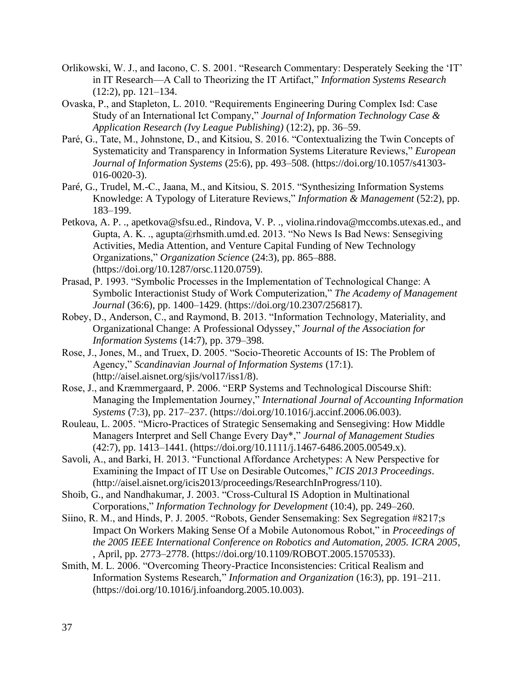- Orlikowski, W. J., and Iacono, C. S. 2001. "Research Commentary: Desperately Seeking the 'IT' in IT Research—A Call to Theorizing the IT Artifact," *Information Systems Research* (12:2), pp. 121–134.
- Ovaska, P., and Stapleton, L. 2010. "Requirements Engineering During Complex Isd: Case Study of an International Ict Company," *Journal of Information Technology Case & Application Research (Ivy League Publishing)* (12:2), pp. 36–59.
- Paré, G., Tate, M., Johnstone, D., and Kitsiou, S. 2016. "Contextualizing the Twin Concepts of Systematicity and Transparency in Information Systems Literature Reviews," *European Journal of Information Systems* (25:6), pp. 493–508. (https://doi.org/10.1057/s41303- 016-0020-3).
- Paré, G., Trudel, M.-C., Jaana, M., and Kitsiou, S. 2015. "Synthesizing Information Systems Knowledge: A Typology of Literature Reviews," *Information & Management* (52:2), pp. 183–199.
- Petkova, A. P. ., apetkova@sfsu.ed., Rindova, V. P. ., violina.rindova@mccombs.utexas.ed., and Gupta, A. K. ., agupta@rhsmith.umd.ed. 2013. "No News Is Bad News: Sensegiving Activities, Media Attention, and Venture Capital Funding of New Technology Organizations," *Organization Science* (24:3), pp. 865–888. (https://doi.org/10.1287/orsc.1120.0759).
- Prasad, P. 1993. "Symbolic Processes in the Implementation of Technological Change: A Symbolic Interactionist Study of Work Computerization," *The Academy of Management Journal* (36:6), pp. 1400–1429. (https://doi.org/10.2307/256817).
- Robey, D., Anderson, C., and Raymond, B. 2013. "Information Technology, Materiality, and Organizational Change: A Professional Odyssey," *Journal of the Association for Information Systems* (14:7), pp. 379–398.
- Rose, J., Jones, M., and Truex, D. 2005. "Socio-Theoretic Accounts of IS: The Problem of Agency," *Scandinavian Journal of Information Systems* (17:1). (http://aisel.aisnet.org/sjis/vol17/iss1/8).
- Rose, J., and Kræmmergaard, P. 2006. "ERP Systems and Technological Discourse Shift: Managing the Implementation Journey," *International Journal of Accounting Information Systems* (7:3), pp. 217–237. (https://doi.org/10.1016/j.accinf.2006.06.003).
- Rouleau, L. 2005. "Micro-Practices of Strategic Sensemaking and Sensegiving: How Middle Managers Interpret and Sell Change Every Day\*," *Journal of Management Studies* (42:7), pp. 1413–1441. (https://doi.org/10.1111/j.1467-6486.2005.00549.x).
- Savoli, A., and Barki, H. 2013. "Functional Affordance Archetypes: A New Perspective for Examining the Impact of IT Use on Desirable Outcomes," *ICIS 2013 Proceedings*. (http://aisel.aisnet.org/icis2013/proceedings/ResearchInProgress/110).
- Shoib, G., and Nandhakumar, J. 2003. "Cross-Cultural IS Adoption in Multinational Corporations," *Information Technology for Development* (10:4), pp. 249–260.
- Siino, R. M., and Hinds, P. J. 2005. "Robots, Gender Sensemaking: Sex Segregation #8217;s Impact On Workers Making Sense Of a Mobile Autonomous Robot," in *Proceedings of the 2005 IEEE International Conference on Robotics and Automation, 2005. ICRA 2005*, , April, pp. 2773–2778. (https://doi.org/10.1109/ROBOT.2005.1570533).
- Smith, M. L. 2006. "Overcoming Theory-Practice Inconsistencies: Critical Realism and Information Systems Research," *Information and Organization* (16:3), pp. 191–211. (https://doi.org/10.1016/j.infoandorg.2005.10.003).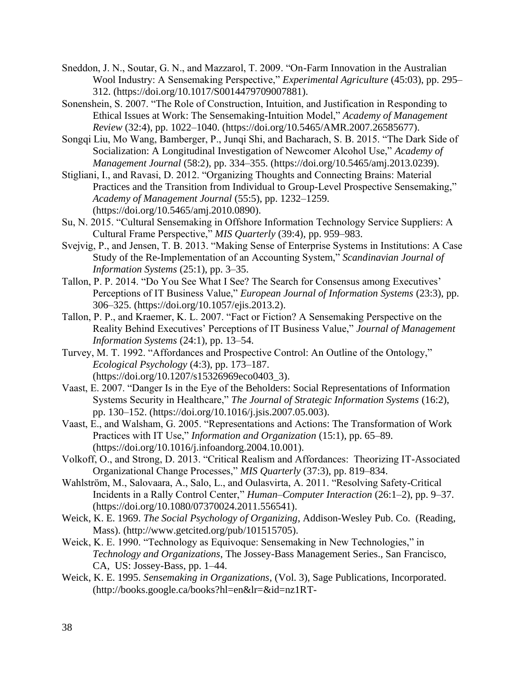- Sneddon, J. N., Soutar, G. N., and Mazzarol, T. 2009. "On-Farm Innovation in the Australian Wool Industry: A Sensemaking Perspective," *Experimental Agriculture* (45:03), pp. 295– 312. (https://doi.org/10.1017/S0014479709007881).
- Sonenshein, S. 2007. "The Role of Construction, Intuition, and Justification in Responding to Ethical Issues at Work: The Sensemaking-Intuition Model," *Academy of Management Review* (32:4), pp. 1022–1040. (https://doi.org/10.5465/AMR.2007.26585677).
- Songqi Liu, Mo Wang, Bamberger, P., Junqi Shi, and Bacharach, S. B. 2015. "The Dark Side of Socialization: A Longitudinal Investigation of Newcomer Alcohol Use," *Academy of Management Journal* (58:2), pp. 334–355. (https://doi.org/10.5465/amj.2013.0239).
- Stigliani, I., and Ravasi, D. 2012. "Organizing Thoughts and Connecting Brains: Material Practices and the Transition from Individual to Group-Level Prospective Sensemaking," *Academy of Management Journal* (55:5), pp. 1232–1259. (https://doi.org/10.5465/amj.2010.0890).
- Su, N. 2015. "Cultural Sensemaking in Offshore Information Technology Service Suppliers: A Cultural Frame Perspective," *MIS Quarterly* (39:4), pp. 959–983.
- Svejvig, P., and Jensen, T. B. 2013. "Making Sense of Enterprise Systems in Institutions: A Case Study of the Re-Implementation of an Accounting System," *Scandinavian Journal of Information Systems* (25:1), pp. 3–35.
- Tallon, P. P. 2014. "Do You See What I See? The Search for Consensus among Executives' Perceptions of IT Business Value," *European Journal of Information Systems* (23:3), pp. 306–325. (https://doi.org/10.1057/ejis.2013.2).
- Tallon, P. P., and Kraemer, K. L. 2007. "Fact or Fiction? A Sensemaking Perspective on the Reality Behind Executives' Perceptions of IT Business Value," *Journal of Management Information Systems* (24:1), pp. 13–54.
- Turvey, M. T. 1992. "Affordances and Prospective Control: An Outline of the Ontology," *Ecological Psychology* (4:3), pp. 173–187. (https://doi.org/10.1207/s15326969eco0403\_3).
- Vaast, E. 2007. "Danger Is in the Eye of the Beholders: Social Representations of Information Systems Security in Healthcare," *The Journal of Strategic Information Systems* (16:2), pp. 130–152. (https://doi.org/10.1016/j.jsis.2007.05.003).
- Vaast, E., and Walsham, G. 2005. "Representations and Actions: The Transformation of Work Practices with IT Use," *Information and Organization* (15:1), pp. 65–89. (https://doi.org/10.1016/j.infoandorg.2004.10.001).
- Volkoff, O., and Strong, D. 2013. "Critical Realism and Affordances: Theorizing IT-Associated Organizational Change Processes," *MIS Quarterly* (37:3), pp. 819–834.
- Wahlström, M., Salovaara, A., Salo, L., and Oulasvirta, A. 2011. "Resolving Safety-Critical Incidents in a Rally Control Center," *Human–Computer Interaction* (26:1–2), pp. 9–37. (https://doi.org/10.1080/07370024.2011.556541).
- Weick, K. E. 1969. *The Social Psychology of Organizing*, Addison-Wesley Pub. Co. (Reading, Mass). (http://www.getcited.org/pub/101515705).
- Weick, K. E. 1990. "Technology as Equivoque: Sensemaking in New Technologies," in *Technology and Organizations*, The Jossey-Bass Management Series., San Francisco, CA, US: Jossey-Bass, pp. 1–44.
- Weick, K. E. 1995. *Sensemaking in Organizations*, (Vol. 3), Sage Publications, Incorporated. (http://books.google.ca/books?hl=en&lr=&id=nz1RT-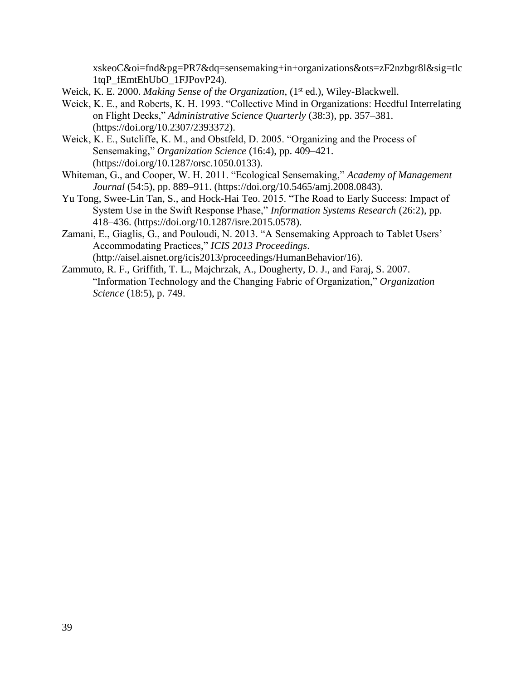xskeoC&oi=fnd&pg=PR7&dq=sensemaking+in+organizations&ots=zF2nzbgr8l&sig=tlc 1tqP\_fEmtEhUbO\_1FJPovP24).

- Weick, K. E. 2000. *Making Sense of the Organization*, (1<sup>st</sup> ed.), Wiley-Blackwell.
- Weick, K. E., and Roberts, K. H. 1993. "Collective Mind in Organizations: Heedful Interrelating on Flight Decks," *Administrative Science Quarterly* (38:3), pp. 357–381. (https://doi.org/10.2307/2393372).
- Weick, K. E., Sutcliffe, K. M., and Obstfeld, D. 2005. "Organizing and the Process of Sensemaking," *Organization Science* (16:4), pp. 409–421. (https://doi.org/10.1287/orsc.1050.0133).
- Whiteman, G., and Cooper, W. H. 2011. "Ecological Sensemaking," *Academy of Management Journal* (54:5), pp. 889–911. (https://doi.org/10.5465/amj.2008.0843).
- Yu Tong, Swee-Lin Tan, S., and Hock-Hai Teo. 2015. "The Road to Early Success: Impact of System Use in the Swift Response Phase," *Information Systems Research* (26:2), pp. 418–436. (https://doi.org/10.1287/isre.2015.0578).
- Zamani, E., Giaglis, G., and Pouloudi, N. 2013. "A Sensemaking Approach to Tablet Users' Accommodating Practices," *ICIS 2013 Proceedings*. (http://aisel.aisnet.org/icis2013/proceedings/HumanBehavior/16).
- Zammuto, R. F., Griffith, T. L., Majchrzak, A., Dougherty, D. J., and Faraj, S. 2007. "Information Technology and the Changing Fabric of Organization," *Organization Science* (18:5), p. 749.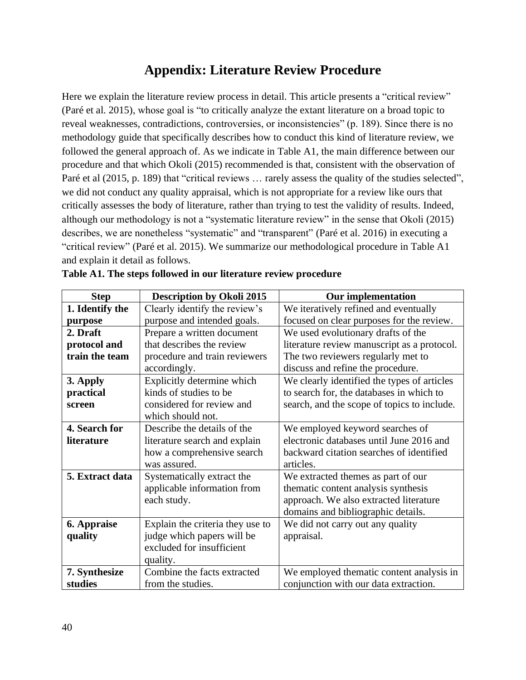# **Appendix: Literature Review Procedure**

Here we explain the literature review process in detail. This article presents a "critical review" (Paré et al. 2015), whose goal is "to critically analyze the extant literature on a broad topic to reveal weaknesses, contradictions, controversies, or inconsistencies" (p. 189). Since there is no methodology guide that specifically describes how to conduct this kind of literature review, we followed the general approach of. As we indicate in Table A1, the main difference between our procedure and that which Okoli (2015) recommended is that, consistent with the observation of Paré et al (2015, p. 189) that "critical reviews ... rarely assess the quality of the studies selected", we did not conduct any quality appraisal, which is not appropriate for a review like ours that critically assesses the body of literature, rather than trying to test the validity of results. Indeed, although our methodology is not a "systematic literature review" in the sense that Okoli (2015) describes, we are nonetheless "systematic" and "transparent" (Paré et al. 2016) in executing a "critical review" (Paré et al. 2015). We summarize our methodological procedure in Table A1 and explain it detail as follows.

| <b>Step</b>     | <b>Description by Okoli 2015</b> | <b>Our implementation</b>                   |
|-----------------|----------------------------------|---------------------------------------------|
| 1. Identify the | Clearly identify the review's    | We iteratively refined and eventually       |
| purpose         | purpose and intended goals.      | focused on clear purposes for the review.   |
| 2. Draft        | Prepare a written document       | We used evolutionary drafts of the          |
| protocol and    | that describes the review        | literature review manuscript as a protocol. |
| train the team  | procedure and train reviewers    | The two reviewers regularly met to          |
|                 | accordingly.                     | discuss and refine the procedure.           |
| 3. Apply        | Explicitly determine which       | We clearly identified the types of articles |
| practical       | kinds of studies to be           | to search for, the databases in which to    |
| screen          | considered for review and        | search, and the scope of topics to include. |
|                 | which should not.                |                                             |
| 4. Search for   | Describe the details of the      | We employed keyword searches of             |
| literature      | literature search and explain    | electronic databases until June 2016 and    |
|                 | how a comprehensive search       | backward citation searches of identified    |
|                 | was assured.                     | articles.                                   |
| 5. Extract data | Systematically extract the       | We extracted themes as part of our          |
|                 | applicable information from      | thematic content analysis synthesis         |
|                 | each study.                      | approach. We also extracted literature      |
|                 |                                  | domains and bibliographic details.          |
| 6. Appraise     | Explain the criteria they use to | We did not carry out any quality            |
| quality         | judge which papers will be       | appraisal.                                  |
|                 | excluded for insufficient        |                                             |
|                 | quality.                         |                                             |
| 7. Synthesize   | Combine the facts extracted      | We employed thematic content analysis in    |
| studies         | from the studies.                | conjunction with our data extraction.       |

|  |  | Table A1. The steps followed in our literature review procedure |  |
|--|--|-----------------------------------------------------------------|--|
|  |  |                                                                 |  |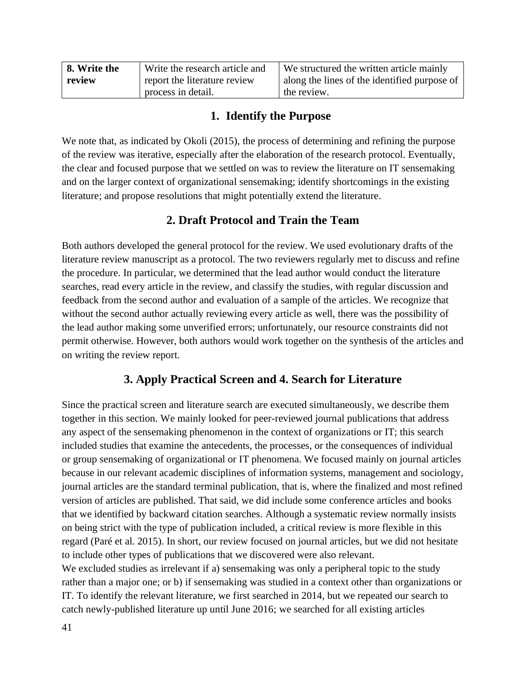| 8. Write the | Write the research article and | We structured the written article mainly     |
|--------------|--------------------------------|----------------------------------------------|
| review       | report the literature review   | along the lines of the identified purpose of |
|              | process in detail.             | the review.                                  |

## **1. Identify the Purpose**

We note that, as indicated by Okoli (2015), the process of determining and refining the purpose of the review was iterative, especially after the elaboration of the research protocol. Eventually, the clear and focused purpose that we settled on was to review the literature on IT sensemaking and on the larger context of organizational sensemaking; identify shortcomings in the existing literature; and propose resolutions that might potentially extend the literature.

### **2. Draft Protocol and Train the Team**

Both authors developed the general protocol for the review. We used evolutionary drafts of the literature review manuscript as a protocol. The two reviewers regularly met to discuss and refine the procedure. In particular, we determined that the lead author would conduct the literature searches, read every article in the review, and classify the studies, with regular discussion and feedback from the second author and evaluation of a sample of the articles. We recognize that without the second author actually reviewing every article as well, there was the possibility of the lead author making some unverified errors; unfortunately, our resource constraints did not permit otherwise. However, both authors would work together on the synthesis of the articles and on writing the review report.

## **3. Apply Practical Screen and 4. Search for Literature**

Since the practical screen and literature search are executed simultaneously, we describe them together in this section. We mainly looked for peer-reviewed journal publications that address any aspect of the sensemaking phenomenon in the context of organizations or IT; this search included studies that examine the antecedents, the processes, or the consequences of individual or group sensemaking of organizational or IT phenomena. We focused mainly on journal articles because in our relevant academic disciplines of information systems, management and sociology, journal articles are the standard terminal publication, that is, where the finalized and most refined version of articles are published. That said, we did include some conference articles and books that we identified by backward citation searches. Although a systematic review normally insists on being strict with the type of publication included, a critical review is more flexible in this regard (Paré et al. 2015). In short, our review focused on journal articles, but we did not hesitate to include other types of publications that we discovered were also relevant. We excluded studies as irrelevant if a) sensemaking was only a peripheral topic to the study

rather than a major one; or b) if sensemaking was studied in a context other than organizations or IT. To identify the relevant literature, we first searched in 2014, but we repeated our search to catch newly-published literature up until June 2016; we searched for all existing articles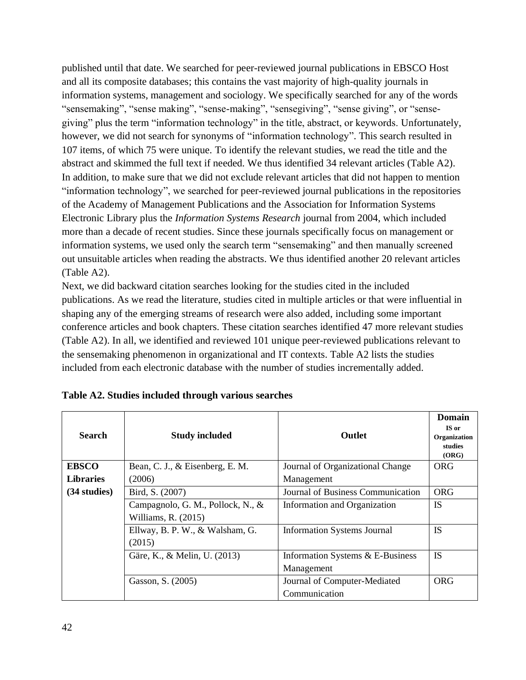published until that date. We searched for peer-reviewed journal publications in EBSCO Host and all its composite databases; this contains the vast majority of high-quality journals in information systems, management and sociology. We specifically searched for any of the words "sensemaking", "sense making", "sense-making", "sensegiving", "sense giving", or "sensegiving" plus the term "information technology" in the title, abstract, or keywords. Unfortunately, however, we did not search for synonyms of "information technology". This search resulted in 107 items, of which 75 were unique. To identify the relevant studies, we read the title and the abstract and skimmed the full text if needed. We thus identified 34 relevant articles (Table A2). In addition, to make sure that we did not exclude relevant articles that did not happen to mention "information technology", we searched for peer-reviewed journal publications in the repositories of the Academy of Management Publications and the Association for Information Systems Electronic Library plus the *Information Systems Research* journal from 2004, which included more than a decade of recent studies. Since these journals specifically focus on management or information systems, we used only the search term "sensemaking" and then manually screened out unsuitable articles when reading the abstracts. We thus identified another 20 relevant articles (Table A2).

Next, we did backward citation searches looking for the studies cited in the included publications. As we read the literature, studies cited in multiple articles or that were influential in shaping any of the emerging streams of research were also added, including some important conference articles and book chapters. These citation searches identified 47 more relevant studies (Table A2). In all, we identified and reviewed 101 unique peer-reviewed publications relevant to the sensemaking phenomenon in organizational and IT contexts. Table A2 lists the studies included from each electronic database with the number of studies incrementally added.

| <b>Search</b>    | <b>Study included</b>                                      | <b>Outlet</b>                                  | <b>Domain</b><br>IS or<br>Organization<br>studies<br>(ORG) |
|------------------|------------------------------------------------------------|------------------------------------------------|------------------------------------------------------------|
| <b>EBSCO</b>     | Bean, C. J., & Eisenberg, E. M.                            | Journal of Organizational Change               | <b>ORG</b>                                                 |
| <b>Libraries</b> | (2006)                                                     | Management                                     |                                                            |
| (34 studies)     | Bird, S. (2007)                                            | Journal of Business Communication              | <b>ORG</b>                                                 |
|                  | Campagnolo, G. M., Pollock, N., &<br>Williams, R. $(2015)$ | Information and Organization                   | IS                                                         |
|                  | Ellway, B. P. W., & Walsham, G.<br>(2015)                  | <b>Information Systems Journal</b>             | IS                                                         |
|                  | Gäre, K., & Melin, U. (2013)                               | Information Systems & E-Business<br>Management | <b>IS</b>                                                  |
|                  | Gasson, S. (2005)                                          | Journal of Computer-Mediated<br>Communication  | <b>ORG</b>                                                 |

| Table A2. Studies included through various searches |  |  |  |
|-----------------------------------------------------|--|--|--|
|                                                     |  |  |  |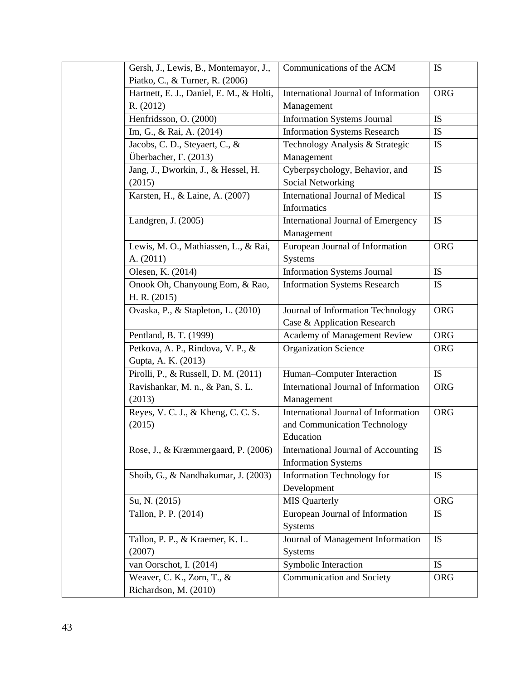| Gersh, J., Lewis, B., Montemayor, J.,    | Communications of the ACM               | IS         |
|------------------------------------------|-----------------------------------------|------------|
| Piatko, C., & Turner, R. (2006)          |                                         |            |
| Hartnett, E. J., Daniel, E. M., & Holti, | International Journal of Information    | <b>ORG</b> |
| R. (2012)                                | Management                              |            |
| Henfridsson, O. (2000)                   | <b>Information Systems Journal</b>      | <b>IS</b>  |
| Im, G., & Rai, A. (2014)                 | <b>Information Systems Research</b>     | <b>IS</b>  |
| Jacobs, C. D., Steyaert, C., &           | Technology Analysis & Strategic         | <b>IS</b>  |
| Überbacher, F. (2013)                    | Management                              |            |
| Jang, J., Dworkin, J., & Hessel, H.      | Cyberpsychology, Behavior, and          | <b>IS</b>  |
| (2015)                                   | Social Networking                       |            |
| Karsten, H., & Laine, A. (2007)          | <b>International Journal of Medical</b> | IS         |
|                                          | Informatics                             |            |
| Landgren, J. (2005)                      | International Journal of Emergency      | IS         |
|                                          | Management                              |            |
| Lewis, M. O., Mathiassen, L., & Rai,     | European Journal of Information         | <b>ORG</b> |
| A. (2011)                                | Systems                                 |            |
| Olesen, K. (2014)                        | <b>Information Systems Journal</b>      | IS         |
| Onook Oh, Chanyoung Eom, & Rao,          | <b>Information Systems Research</b>     | IS         |
| H. R. (2015)                             |                                         |            |
| Ovaska, P., & Stapleton, L. (2010)       | Journal of Information Technology       | <b>ORG</b> |
|                                          | Case & Application Research             |            |
| Pentland, B. T. (1999)                   | Academy of Management Review            | <b>ORG</b> |
| Petkova, A. P., Rindova, V. P., &        | <b>Organization Science</b>             | <b>ORG</b> |
| Gupta, A. K. (2013)                      |                                         |            |
| Pirolli, P., & Russell, D. M. (2011)     | Human-Computer Interaction              | <b>IS</b>  |
| Ravishankar, M. n., & Pan, S. L.         | International Journal of Information    | <b>ORG</b> |
| (2013)                                   | Management                              |            |
| Reyes, V. C. J., & Kheng, C. C. S.       | International Journal of Information    | <b>ORG</b> |
| (2015)                                   | and Communication Technology            |            |
|                                          | Education                               |            |
| Rose, J., & Kræmmergaard, P. (2006)      | International Journal of Accounting     | IS         |
|                                          | <b>Information Systems</b>              |            |
| Shoib, G., & Nandhakumar, J. (2003)      | Information Technology for              | <b>IS</b>  |
|                                          | Development                             |            |
| Su, N. (2015)                            | <b>MIS</b> Quarterly                    | <b>ORG</b> |
| Tallon, P. P. (2014)                     | European Journal of Information         | IS         |
|                                          | <b>Systems</b>                          |            |
| Tallon, P. P., & Kraemer, K. L.          | Journal of Management Information       | IS.        |
| (2007)                                   | Systems                                 |            |
| van Oorschot, I. (2014)                  | Symbolic Interaction                    | <b>IS</b>  |
| Weaver, C. K., Zorn, T., &               | Communication and Society               | <b>ORG</b> |
| Richardson, M. (2010)                    |                                         |            |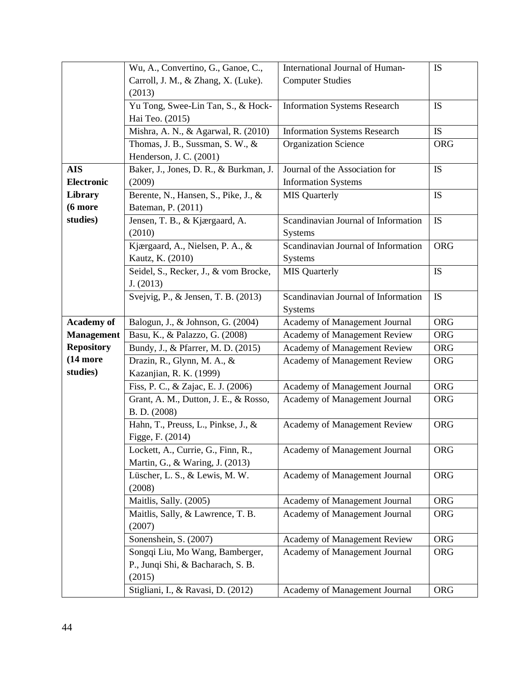|                   | Wu, A., Convertino, G., Ganoe, C.,     | International Journal of Human-     | IS         |
|-------------------|----------------------------------------|-------------------------------------|------------|
|                   | Carroll, J. M., & Zhang, X. (Luke).    | <b>Computer Studies</b>             |            |
|                   | (2013)                                 |                                     |            |
|                   | Yu Tong, Swee-Lin Tan, S., & Hock-     | <b>Information Systems Research</b> | <b>IS</b>  |
|                   | Hai Teo. (2015)                        |                                     |            |
|                   | Mishra, A. N., & Agarwal, R. (2010)    | <b>Information Systems Research</b> | IS         |
|                   | Thomas, J. B., Sussman, S. W., &       | <b>Organization Science</b>         | <b>ORG</b> |
|                   | Henderson, J. C. (2001)                |                                     |            |
| <b>AIS</b>        | Baker, J., Jones, D. R., & Burkman, J. | Journal of the Association for      | <b>IS</b>  |
| <b>Electronic</b> | (2009)                                 | <b>Information Systems</b>          |            |
| Library           | Berente, N., Hansen, S., Pike, J., &   | <b>MIS</b> Quarterly                | <b>IS</b>  |
| $(6$ more         | Bateman, P. (2011)                     |                                     |            |
| studies)          | Jensen, T. B., & Kjærgaard, A.         | Scandinavian Journal of Information | IS         |
|                   | (2010)                                 | Systems                             |            |
|                   | Kjærgaard, A., Nielsen, P. A., &       | Scandinavian Journal of Information | <b>ORG</b> |
|                   | Kautz, K. (2010)                       | Systems                             |            |
|                   | Seidel, S., Recker, J., & vom Brocke,  | <b>MIS</b> Quarterly                | IS         |
|                   | J. (2013)                              |                                     |            |
|                   | Svejvig, P., & Jensen, T. B. (2013)    | Scandinavian Journal of Information | <b>IS</b>  |
|                   |                                        | <b>Systems</b>                      |            |
| <b>Academy</b> of | Balogun, J., & Johnson, G. (2004)      | Academy of Management Journal       | <b>ORG</b> |
| <b>Management</b> | Basu, K., & Palazzo, G. (2008)         | Academy of Management Review        | <b>ORG</b> |
| <b>Repository</b> | Bundy, J., & Pfarrer, M. D. (2015)     | Academy of Management Review        | <b>ORG</b> |
| $(14$ more        | Drazin, R., Glynn, M. A., &            | Academy of Management Review        | <b>ORG</b> |
| studies)          | Kazanjian, R. K. (1999)                |                                     |            |
|                   | Fiss, P. C., & Zajac, E. J. (2006)     | Academy of Management Journal       | <b>ORG</b> |
|                   | Grant, A. M., Dutton, J. E., & Rosso,  | Academy of Management Journal       | <b>ORG</b> |
|                   | B. D. (2008)                           |                                     |            |
|                   | Hahn, T., Preuss, L., Pinkse, J., &    | Academy of Management Review        | <b>ORG</b> |
|                   | Figge, F. (2014)                       |                                     |            |
|                   | Lockett, A., Currie, G., Finn, R.,     | Academy of Management Journal       | <b>ORG</b> |
|                   | Martin, G., & Waring, J. (2013)        |                                     |            |
|                   | Lüscher, L. S., & Lewis, M. W.         | Academy of Management Journal       | <b>ORG</b> |
|                   | (2008)                                 |                                     |            |
|                   | Maitlis, Sally. (2005)                 | Academy of Management Journal       | <b>ORG</b> |
|                   | Maitlis, Sally, & Lawrence, T. B.      | Academy of Management Journal       | <b>ORG</b> |
|                   | (2007)                                 |                                     |            |
|                   | Sonenshein, S. (2007)                  | Academy of Management Review        | ORG        |
|                   | Songqi Liu, Mo Wang, Bamberger,        | Academy of Management Journal       | <b>ORG</b> |
|                   | P., Junqi Shi, & Bacharach, S. B.      |                                     |            |
|                   | (2015)                                 |                                     |            |
|                   | Stigliani, I., & Ravasi, D. (2012)     | Academy of Management Journal       | ORG        |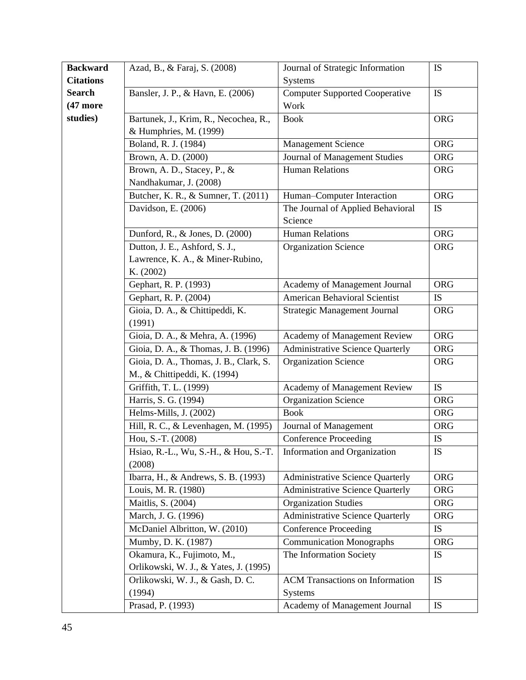| <b>Backward</b>  | Azad, B., & Faraj, S. (2008)           | Journal of Strategic Information        | IS         |
|------------------|----------------------------------------|-----------------------------------------|------------|
| <b>Citations</b> |                                        | Systems                                 |            |
| <b>Search</b>    | Bansler, J. P., & Havn, E. (2006)      | <b>Computer Supported Cooperative</b>   | <b>IS</b>  |
| $(47$ more       |                                        | Work                                    |            |
| studies)         | Bartunek, J., Krim, R., Necochea, R.,  | <b>Book</b>                             | <b>ORG</b> |
|                  | & Humphries, M. (1999)                 |                                         |            |
|                  | Boland, R. J. (1984)                   | <b>Management Science</b>               | ORG        |
|                  | Brown, A. D. (2000)                    | Journal of Management Studies           | <b>ORG</b> |
|                  | Brown, A. D., Stacey, P., &            | <b>Human Relations</b>                  | <b>ORG</b> |
|                  | Nandhakumar, J. (2008)                 |                                         |            |
|                  | Butcher, K. R., & Sumner, T. (2011)    | Human-Computer Interaction              | <b>ORG</b> |
|                  | Davidson, E. (2006)                    | The Journal of Applied Behavioral       | IS         |
|                  |                                        | Science                                 |            |
|                  | Dunford, R., & Jones, D. (2000)        | <b>Human Relations</b>                  | <b>ORG</b> |
|                  | Dutton, J. E., Ashford, S. J.,         | Organization Science                    | <b>ORG</b> |
|                  | Lawrence, K. A., & Miner-Rubino,       |                                         |            |
|                  | K. (2002)                              |                                         |            |
|                  | Gephart, R. P. (1993)                  | Academy of Management Journal           | <b>ORG</b> |
|                  | Gephart, R. P. (2004)                  | <b>American Behavioral Scientist</b>    | IS         |
|                  | Gioia, D. A., & Chittipeddi, K.        | <b>Strategic Management Journal</b>     | <b>ORG</b> |
|                  | (1991)                                 |                                         |            |
|                  | Gioia, D. A., & Mehra, A. (1996)       | Academy of Management Review            | <b>ORG</b> |
|                  | Gioia, D. A., & Thomas, J. B. (1996)   | <b>Administrative Science Quarterly</b> | ORG        |
|                  | Gioia, D. A., Thomas, J. B., Clark, S. | <b>Organization Science</b>             | <b>ORG</b> |
|                  | M., & Chittipeddi, K. (1994)           |                                         |            |
|                  | Griffith, T. L. (1999)                 | Academy of Management Review            | <b>IS</b>  |
|                  | Harris, S. G. (1994)                   | Organization Science                    | <b>ORG</b> |
|                  | Helms-Mills, J. (2002)                 | <b>Book</b>                             | <b>ORG</b> |
|                  | Hill, R. C., & Levenhagen, M. (1995)   | Journal of Management                   | <b>ORG</b> |
|                  | Hou, S.-T. (2008)                      | <b>Conference Proceeding</b>            | IS         |
|                  | Hsiao, R.-L., Wu, S.-H., & Hou, S.-T.  | Information and Organization            | <b>IS</b>  |
|                  | (2008)                                 |                                         |            |
|                  | Ibarra, H., & Andrews, S. B. (1993)    | <b>Administrative Science Quarterly</b> | <b>ORG</b> |
|                  | Louis, M. R. (1980)                    | <b>Administrative Science Quarterly</b> | <b>ORG</b> |
|                  | Maitlis, S. (2004)                     | <b>Organization Studies</b>             | <b>ORG</b> |
|                  | March, J. G. (1996)                    | <b>Administrative Science Quarterly</b> | <b>ORG</b> |
|                  | McDaniel Albritton, W. (2010)          | <b>Conference Proceeding</b>            | <b>IS</b>  |
|                  | Mumby, D. K. (1987)                    | <b>Communication Monographs</b>         | <b>ORG</b> |
|                  | Okamura, K., Fujimoto, M.,             | The Information Society                 | IS         |
|                  | Orlikowski, W. J., & Yates, J. (1995)  |                                         |            |
|                  | Orlikowski, W. J., & Gash, D. C.       | <b>ACM</b> Transactions on Information  | <b>IS</b>  |
|                  | (1994)                                 | <b>Systems</b>                          |            |
|                  | Prasad, P. (1993)                      | Academy of Management Journal           | IS         |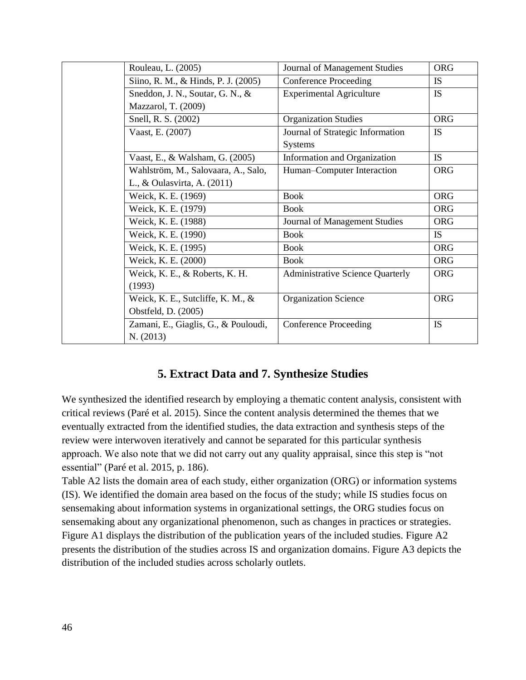| Rouleau, L. (2005)                   | Journal of Management Studies           | <b>ORG</b> |
|--------------------------------------|-----------------------------------------|------------|
| Siino, R. M., & Hinds, P. J. (2005)  | <b>Conference Proceeding</b>            | IS         |
| Sneddon, J. N., Soutar, G. N., &     | <b>Experimental Agriculture</b>         | IS         |
| Mazzarol, T. (2009)                  |                                         |            |
| Snell, R. S. (2002)                  | <b>Organization Studies</b>             | <b>ORG</b> |
| Vaast, E. (2007)                     | Journal of Strategic Information        | <b>IS</b>  |
|                                      | <b>Systems</b>                          |            |
| Vaast, E., & Walsham, G. (2005)      | Information and Organization            | <b>IS</b>  |
| Wahlström, M., Salovaara, A., Salo,  | Human-Computer Interaction              | <b>ORG</b> |
| L., & Oulasvirta, A. (2011)          |                                         |            |
| Weick, K. E. (1969)                  | <b>Book</b>                             | <b>ORG</b> |
| Weick, K. E. (1979)                  | <b>Book</b>                             | <b>ORG</b> |
| Weick, K. E. (1988)                  | Journal of Management Studies           | <b>ORG</b> |
| Weick, K. E. (1990)                  | <b>Book</b>                             | <b>IS</b>  |
| Weick, K. E. (1995)                  | <b>Book</b>                             | <b>ORG</b> |
| Weick, K. E. (2000)                  | <b>Book</b>                             | <b>ORG</b> |
| Weick, K. E., & Roberts, K. H.       | <b>Administrative Science Quarterly</b> | <b>ORG</b> |
| (1993)                               |                                         |            |
| Weick, K. E., Sutcliffe, K. M., &    | <b>Organization Science</b>             | <b>ORG</b> |
| Obstfeld, D. (2005)                  |                                         |            |
| Zamani, E., Giaglis, G., & Pouloudi, | <b>Conference Proceeding</b>            | IS         |
| N. (2013)                            |                                         |            |

# **5. Extract Data and 7. Synthesize Studies**

We synthesized the identified research by employing a thematic content analysis, consistent with critical reviews (Paré et al. 2015). Since the content analysis determined the themes that we eventually extracted from the identified studies, the data extraction and synthesis steps of the review were interwoven iteratively and cannot be separated for this particular synthesis approach. We also note that we did not carry out any quality appraisal, since this step is "not essential" (Paré et al. 2015, p. 186).

Table A2 lists the domain area of each study, either organization (ORG) or information systems (IS). We identified the domain area based on the focus of the study; while IS studies focus on sensemaking about information systems in organizational settings, the ORG studies focus on sensemaking about any organizational phenomenon, such as changes in practices or strategies. Figure A1 displays the distribution of the publication years of the included studies. Figure A2 presents the distribution of the studies across IS and organization domains. Figure A3 depicts the distribution of the included studies across scholarly outlets.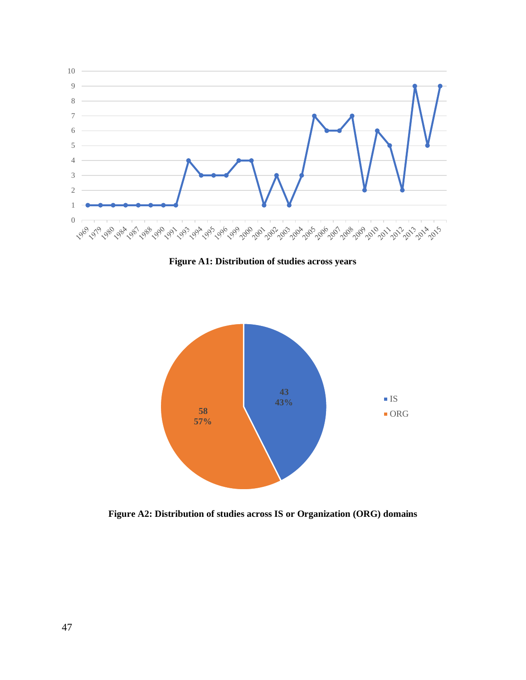

**Figure A1: Distribution of studies across years**



**Figure A2: Distribution of studies across IS or Organization (ORG) domains**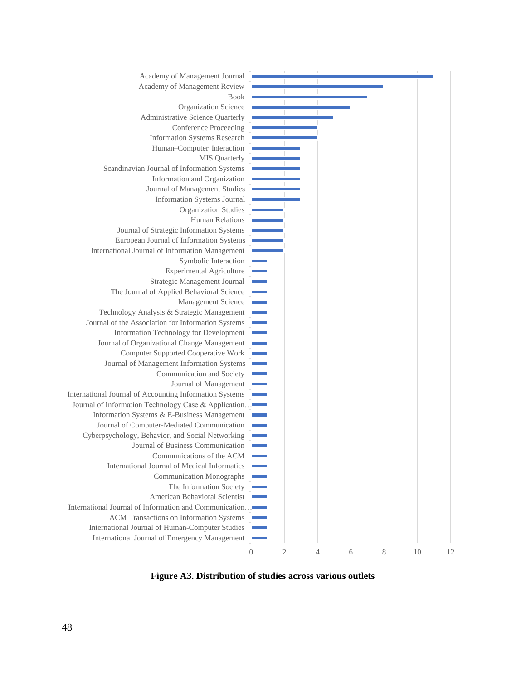

**Figure A3. Distribution of studies across various outlets**